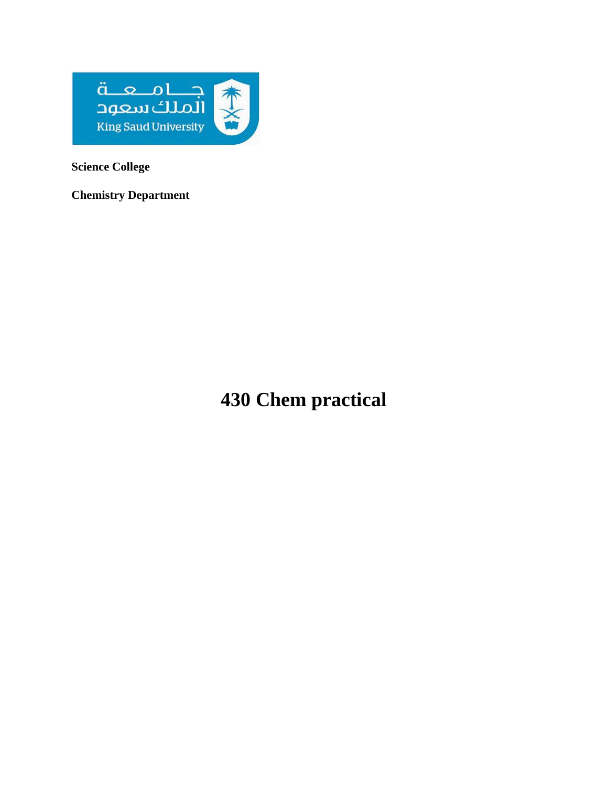

**Science College**

**Chemistry Department**

**430 Chem practical**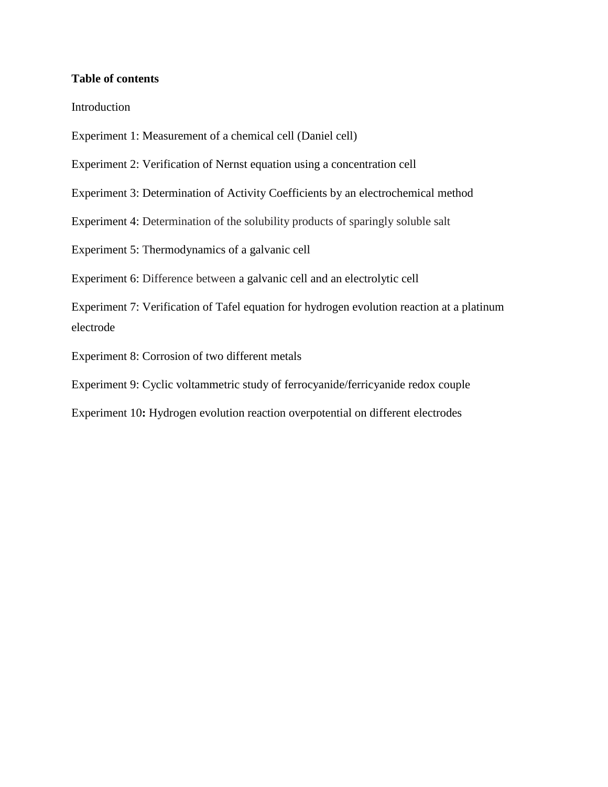### **Table of contents**

Introduction

Experiment 1: Measurement of a chemical cell (Daniel cell)

Experiment 2: Verification of Nernst equation using a concentration cell

Experiment 3: Determination of Activity Coefficients by an electrochemical method

Experiment 4: Determination of the solubility products of sparingly soluble salt

Experiment 5: Thermodynamics of a galvanic cell

Experiment 6: Difference between a galvanic cell and an electrolytic cell

Experiment 7: Verification of Tafel equation for hydrogen evolution reaction at a platinum electrode

Experiment 8: Corrosion of two different metals

Experiment 9: Cyclic voltammetric study of ferrocyanide/ferricyanide redox couple

Experiment 10**:** Hydrogen evolution reaction overpotential on different electrodes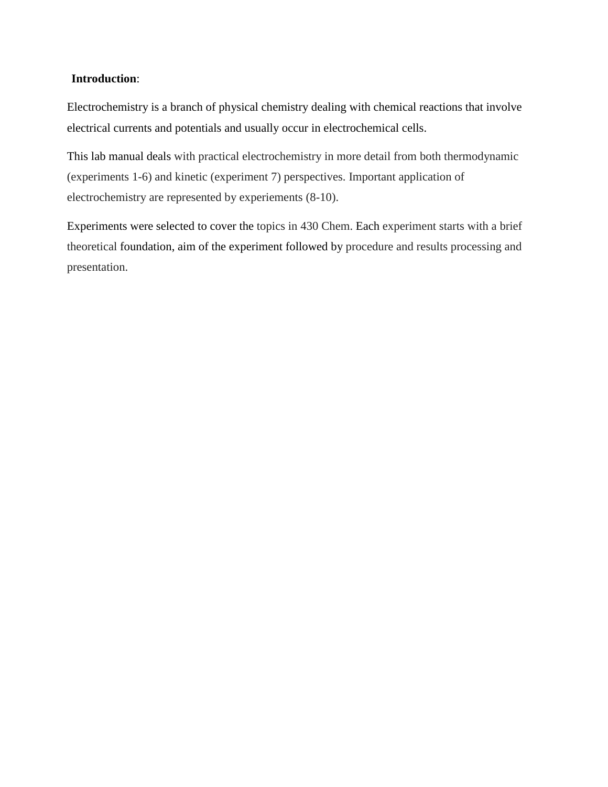### **Introduction**:

Electrochemistry is a branch of physical chemistry dealing with chemical reactions that involve electrical currents and potentials and usually occur in electrochemical cells.

This lab manual deals with practical electrochemistry in more detail from both thermodynamic (experiments 1-6) and kinetic (experiment 7) perspectives. Important application of electrochemistry are represented by experiements (8-10).

Experiments were selected to cover the topics in 430 Chem. Each experiment starts with a brief theoretical foundation, aim of the experiment followed by procedure and results processing and presentation.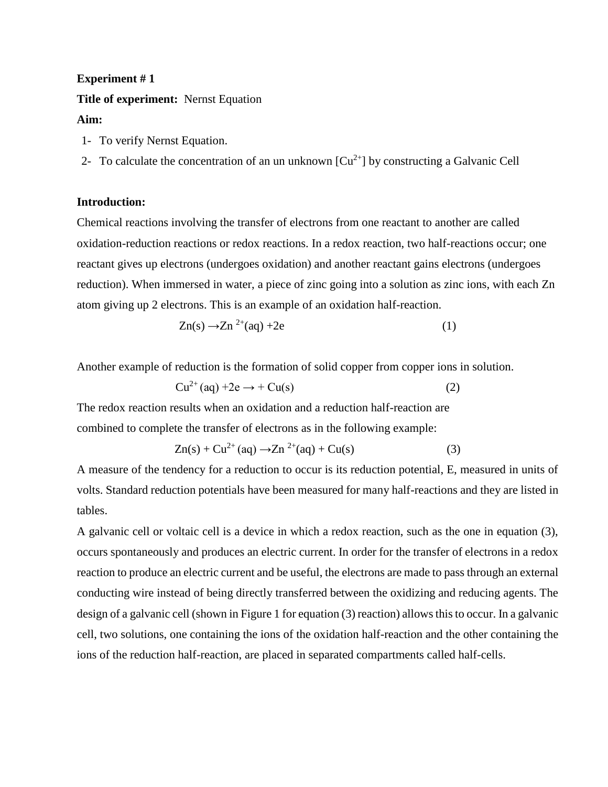# **Experiment # 1 Title of experiment:** Nernst Equation **Aim:**

- 1- To verify Nernst Equation.
- 2- To calculate the concentration of an un unknown  $[Cu^{2+}]$  by constructing a Galvanic Cell

### **Introduction:**

Chemical reactions involving the transfer of electrons from one reactant to another are called oxidation-reduction reactions or redox reactions. In a redox reaction, two half-reactions occur; one reactant gives up electrons (undergoes oxidation) and another reactant gains electrons (undergoes reduction). When immersed in water, a piece of zinc going into a solution as zinc ions, with each Zn atom giving up 2 electrons. This is an example of an oxidation half-reaction.

$$
Zn(s) \to Zn^{2+}(aq) + 2e \tag{1}
$$

Another example of reduction is the formation of solid copper from copper ions in solution.

$$
Cu^{2+}(aq) + 2e \rightarrow + Cu(s)
$$
 (2)

The redox reaction results when an oxidation and a reduction half-reaction are combined to complete the transfer of electrons as in the following example:

$$
Zn(s) + Cu^{2+}(aq) \rightarrow Zn^{2+}(aq) + Cu(s)
$$
 (3)

A measure of the tendency for a reduction to occur is its reduction potential, E, measured in units of volts. Standard reduction potentials have been measured for many half-reactions and they are listed in tables.

A galvanic cell or voltaic cell is a device in which a redox reaction, such as the one in equation (3), occurs spontaneously and produces an electric current. In order for the transfer of electrons in a redox reaction to produce an electric current and be useful, the electrons are made to pass through an external conducting wire instead of being directly transferred between the oxidizing and reducing agents. The design of a galvanic cell (shown in Figure 1 for equation (3) reaction) allows this to occur. In a galvanic cell, two solutions, one containing the ions of the oxidation half-reaction and the other containing the ions of the reduction half-reaction, are placed in separated compartments called half-cells.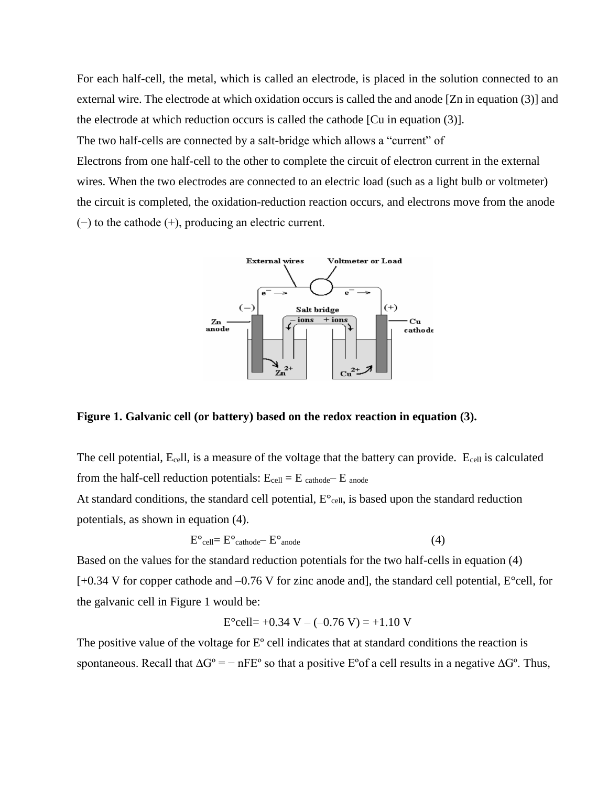For each half-cell, the metal, which is called an electrode, is placed in the solution connected to an external wire. The electrode at which oxidation occurs is called the and anode [Zn in equation (3)] and the electrode at which reduction occurs is called the cathode [Cu in equation (3)].

The two half-cells are connected by a salt-bridge which allows a "current" of

Electrons from one half-cell to the other to complete the circuit of electron current in the external wires. When the two electrodes are connected to an electric load (such as a light bulb or voltmeter) the circuit is completed, the oxidation-reduction reaction occurs, and electrons move from the anode (−) to the cathode (+), producing an electric current.



**Figure 1. Galvanic cell (or battery) based on the redox reaction in equation (3).**

The cell potential, Ecell, is a measure of the voltage that the battery can provide. Ecell is calculated from the half-cell reduction potentials:  $E_{cell} = E_{cathode} - E_{anode}$ 

At standard conditions, the standard cell potential,  $E^{\circ}$ <sub>cell</sub>, is based upon the standard reduction potentials, as shown in equation (4).

$$
E^{\circ}{}_{cell} = E^{\circ}{}_{cathode} - E^{\circ}{}_{anode}
$$
 (4)

Based on the values for the standard reduction potentials for the two half-cells in equation (4) [+0.34 V for copper cathode and –0.76 V for zinc anode and], the standard cell potential, E°cell, for the galvanic cell in Figure 1 would be:

$$
E^{\circ}
$$
cell= $+0.34$  V –  $(-0.76$  V) =  $+1.10$  V

The positive value of the voltage for  $E^{\circ}$  cell indicates that at standard conditions the reaction is spontaneous. Recall that  $\Delta G^{\circ} = -nFE^{\circ}$  so that a positive  $E^{\circ}$  a cell results in a negative  $\Delta G^{\circ}$ . Thus,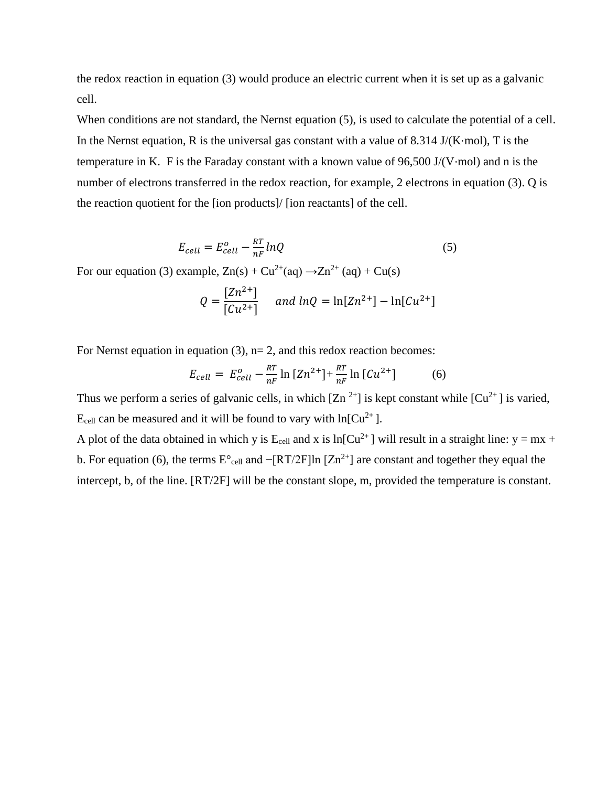the redox reaction in equation (3) would produce an electric current when it is set up as a galvanic cell.

When conditions are not standard, the Nernst equation  $(5)$ , is used to calculate the potential of a cell. In the Nernst equation, R is the universal gas constant with a value of 8.314 J/(K⋅mol), T is the temperature in K. F is the Faraday constant with a known value of 96,500 J/(V⋅mol) and n is the number of electrons transferred in the redox reaction, for example, 2 electrons in equation (3). Q is the reaction quotient for the [ion products]/ [ion reactants] of the cell.

$$
E_{cell} = E_{cell}^o - \frac{RT}{nF} lnQ
$$
\n(5)

For our equation (3) example,  $Zn(s) + Cu^{2+}(aq) \rightarrow Zn^{2+}(aq) + Cu(s)$ 

$$
Q = \frac{[Zn^{2+}]}{[Cu^{2+}]} \quad \text{and } lnQ = ln[Zn^{2+}] - ln[Cu^{2+}]
$$

For Nernst equation in equation  $(3)$ ,  $n=2$ , and this redox reaction becomes:

$$
E_{cell} = E_{cell}^{o} - \frac{RT}{nF} \ln \left[ Zn^{2+} \right] + \frac{RT}{nF} \ln \left[ Cu^{2+} \right] \tag{6}
$$

Thus we perform a series of galvanic cells, in which  $[Zn^{2+}]$  is kept constant while  $[Cu^{2+}]$  is varied,  $E_{cell}$  can be measured and it will be found to vary with ln[Cu<sup>2+</sup>].

A plot of the data obtained in which y is  $E_{cell}$  and x is ln[Cu<sup>2+</sup>] will result in a straight line: y = mx + b. For equation (6), the terms  $E^{\circ}$ <sub>cell</sub> and  $-[RT/2F]$ ln  $[Zn^{2+}]$  are constant and together they equal the intercept, b, of the line. [RT/2F] will be the constant slope, m, provided the temperature is constant.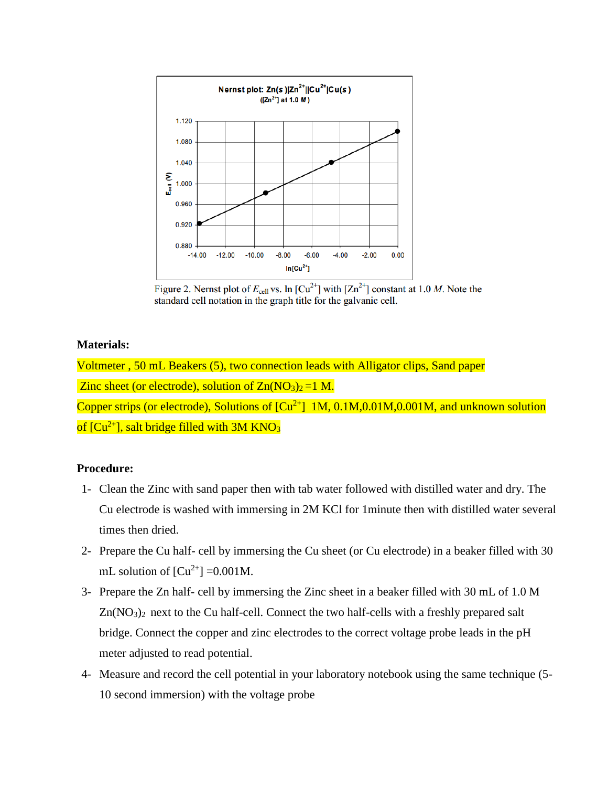

Figure 2. Nernst plot of  $E_{cell}$  vs. ln [Cu<sup>2+</sup>] with [Zn<sup>2+</sup>] constant at 1.0 M. Note the standard cell notation in the graph title for the galvanic cell.

## **Materials:**

Voltmeter , 50 mL Beakers (5), two connection leads with Alligator clips, Sand paper Zinc sheet (or electrode), solution of  $Zn(NO<sub>3</sub>)<sub>2</sub>=1 M$ . Copper strips (or electrode), Solutions of  $\lbrack Cu^{2+} \rbrack \quad 1M, 0.1M, 0.01M, 0.001M,$  and unknown solution of  $[Cu^{2+}]$ , salt bridge filled with 3M KNO<sub>3</sub>

#### **Procedure:**

- 1- Clean the Zinc with sand paper then with tab water followed with distilled water and dry. The Cu electrode is washed with immersing in 2M KCl for 1minute then with distilled water several times then dried.
- 2- Prepare the Cu half- cell by immersing the Cu sheet (or Cu electrode) in a beaker filled with 30 mL solution of  $\lbrack Cu^{2+} \rbrack = 0.001M$ .
- 3- Prepare the Zn half- cell by immersing the Zinc sheet in a beaker filled with 30 mL of 1.0 M Zn(NO3)2 next to the Cu half-cell. Connect the two half-cells with a freshly prepared salt bridge. Connect the copper and zinc electrodes to the correct voltage probe leads in the pH meter adjusted to read potential.
- 4- Measure and record the cell potential in your laboratory notebook using the same technique (5- 10 second immersion) with the voltage probe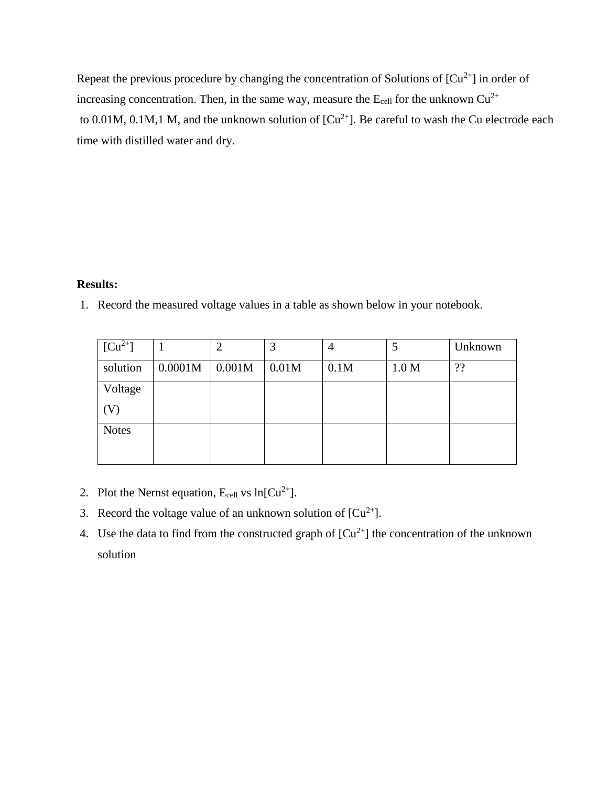Repeat the previous procedure by changing the concentration of Solutions of  $\lbrack Cu^{2+} \rbrack$  in order of increasing concentration. Then, in the same way, measure the  $E_{cell}$  for the unknown  $Cu^{2+}$ to 0.01M, 0.1M,1 M, and the unknown solution of  $[Cu^{2+}]$ . Be careful to wash the Cu electrode each time with distilled water and dry.

# **Results:**

1. Record the measured voltage values in a table as shown below in your notebook.

| $[Cu^{2+}]$  |         |        |       | 4    |       | Unknown |
|--------------|---------|--------|-------|------|-------|---------|
| solution     | 0.0001M | 0.001M | 0.01M | 0.1M | 1.0 M | ??      |
| Voltage      |         |        |       |      |       |         |
| (V)          |         |        |       |      |       |         |
| <b>Notes</b> |         |        |       |      |       |         |
|              |         |        |       |      |       |         |

- 2. Plot the Nernst equation,  $E_{cell}$  vs  $ln[Cu^{2+}]$ .
- 3. Record the voltage value of an unknown solution of  $[Cu^{2+}]$ .
- 4. Use the data to find from the constructed graph of  $[Cu<sup>2+</sup>]$  the concentration of the unknown solution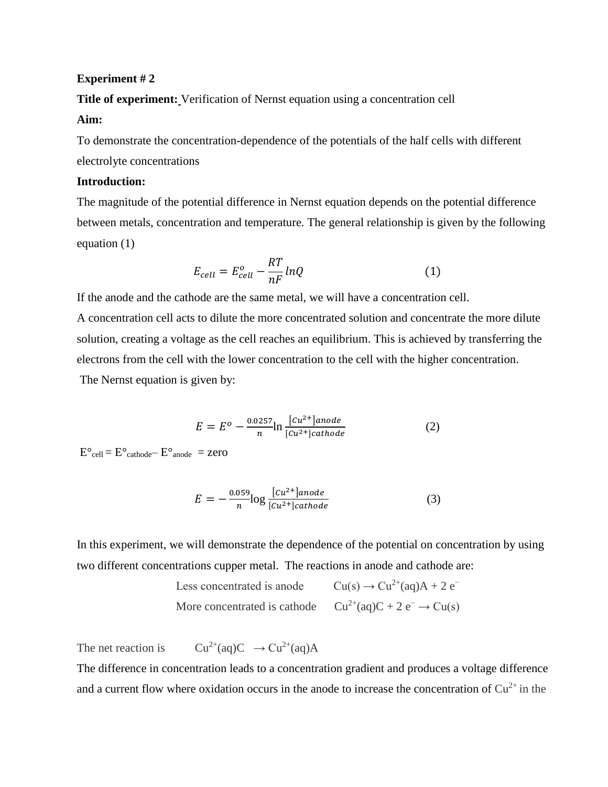**Title of experiment:** Verification of Nernst equation using a concentration cell

#### **Aim:**

To demonstrate the concentration-dependence of the potentials of the half cells with different electrolyte concentrations

## **Introduction:**

The magnitude of the potential difference in Nernst equation depends on the potential difference between metals, concentration and temperature. The general relationship is given by the following equation (1)

$$
E_{cell} = E_{cell}^o - \frac{RT}{nF} lnQ
$$
 (1)

If the anode and the cathode are the same metal, we will have a concentration cell.

A concentration cell acts to dilute the more concentrated solution and concentrate the more dilute solution, creating a voltage as the cell reaches an equilibrium. This is achieved by transferring the electrons from the cell with the lower concentration to the cell with the higher concentration. The Nernst equation is given by:

$$
E = E^o - \frac{0.0257}{n} \ln \frac{[cu^{2+}]anode}{[cu^{2+}]cathode}
$$
 (2)

 $E^{\circ}$ cell =  $E^{\circ}$ cathode —  $E^{\circ}$ anode =  $zero$ 

$$
E = -\frac{0.059}{n} \log \frac{[cu^{2+}]anode}{[cu^{2+}]cathode}
$$
 (3)

In this experiment, we will demonstrate the dependence of the potential on concentration by using two different concentrations cupper metal. The reactions in anode and cathode are:

> Less concentrated is anode  $Cu(s) \rightarrow Cu^2+(aq)A + 2e^-$ More concentrated is cathode  $Cu^{2+}(aq)C + 2e^- \rightarrow Cu(s)$

The net reaction is  $Cu^{2+}(aq)C \rightarrow Cu^{2+}(aq)A$ 

The difference in concentration leads to a concentration gradient and produces a voltage difference and a current flow where oxidation occurs in the anode to increase the concentration of  $Cu^{2+}$  in the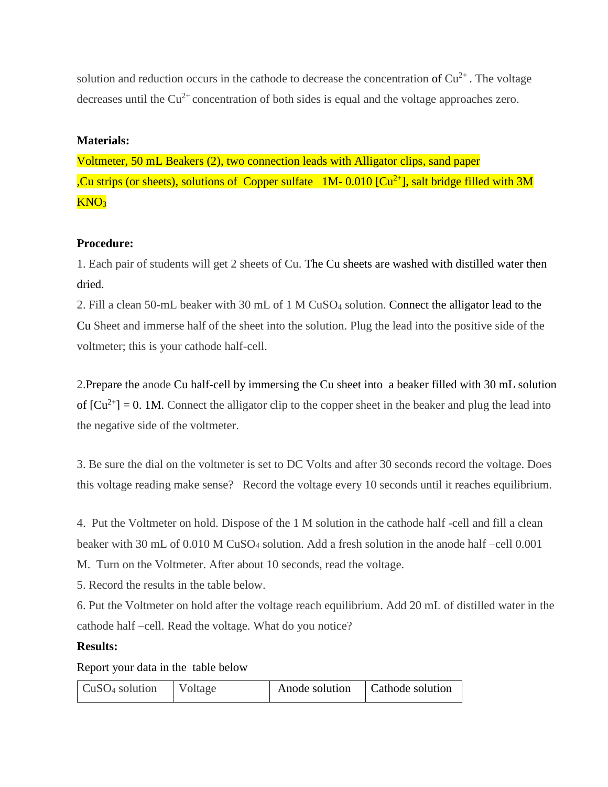solution and reduction occurs in the cathode to decrease the concentration of  $Cu^{2+}$ . The voltage decreases until the  $Cu^{2+}$  concentration of both sides is equal and the voltage approaches zero.

# **Materials:**

Voltmeter, 50 mL Beakers (2), two connection leads with Alligator clips, sand paper ,Cu strips (or sheets), solutions of Copper sulfate 1M- 0.010  $\lceil Cu^{2+} \rceil$ , salt bridge filled with 3M KNO<sup>3</sup>

# **Procedure:**

1. Each pair of students will get 2 sheets of Cu. The Cu sheets are washed with distilled water then dried.

2. Fill a clean 50-mL beaker with 30 mL of 1 M CuSO<sup>4</sup> solution. Connect the alligator lead to the Cu Sheet and immerse half of the sheet into the solution. Plug the lead into the positive side of the voltmeter; this is your cathode half-cell.

2.Prepare the anode Cu half-cell by immersing the Cu sheet into a beaker filled with 30 mL solution of  $[Cu^{2+}] = 0$ . 1M. Connect the alligator clip to the copper sheet in the beaker and plug the lead into the negative side of the voltmeter.

3. Be sure the dial on the voltmeter is set to DC Volts and after 30 seconds record the voltage. Does this voltage reading make sense? Record the voltage every 10 seconds until it reaches equilibrium.

4. Put the Voltmeter on hold. Dispose of the 1 M solution in the cathode half -cell and fill a clean beaker with 30 mL of 0.010 M CuSO<sup>4</sup> solution. Add a fresh solution in the anode half –cell 0.001

M. Turn on the Voltmeter. After about 10 seconds, read the voltage.

5. Record the results in the table below.

6. Put the Voltmeter on hold after the voltage reach equilibrium. Add 20 mL of distilled water in the cathode half –cell. Read the voltage. What do you notice?

# **Results:**

Report your data in the table below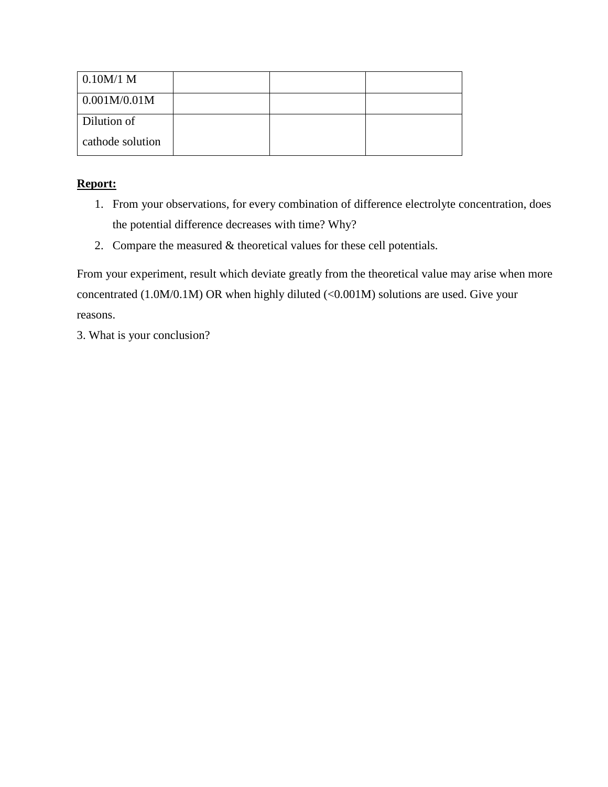| 0.10M/1 M           |  |  |
|---------------------|--|--|
| $\mid 0.001M/0.01M$ |  |  |
| Dilution of         |  |  |
| cathode solution    |  |  |

# **Report:**

- 1. From your observations, for every combination of difference electrolyte concentration, does the potential difference decreases with time? Why?
- 2. Compare the measured & theoretical values for these cell potentials.

From your experiment, result which deviate greatly from the theoretical value may arise when more concentrated (1.0M/0.1M) OR when highly diluted (<0.001M) solutions are used. Give your reasons.

3. What is your conclusion?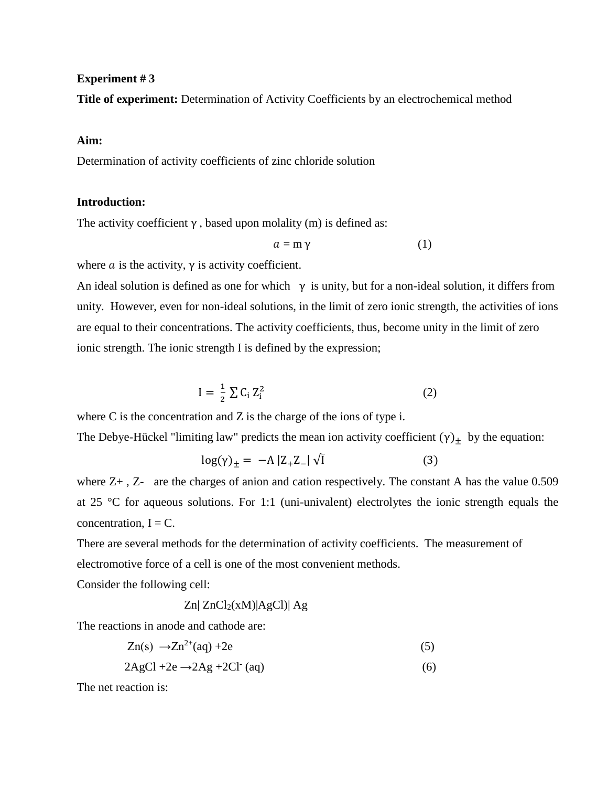**Title of experiment:** Determination of Activity Coefficients by an electrochemical method

#### **Aim:**

Determination of activity coefficients of zinc chloride solution

## **Introduction:**

The activity coefficient  $\gamma$ , based upon molality (m) is defined as:

$$
a = m \gamma \tag{1}
$$

where  $\alpha$  is the activity,  $\gamma$  is activity coefficient.

An ideal solution is defined as one for which  $\gamma$  is unity, but for a non-ideal solution, it differs from unity. However, even for non-ideal solutions, in the limit of zero ionic strength, the activities of ions are equal to their concentrations. The activity coefficients, thus, become unity in the limit of zero ionic strength. The ionic strength I is defined by the expression;

$$
I = \frac{1}{2} \sum C_i Z_i^2 \tag{2}
$$

where C is the concentration and Z is the charge of the ions of type i.

The Debye-Hückel "limiting law" predicts the mean ion activity coefficient  $(\gamma)_\pm$  by the equation:

$$
\log(\gamma)_{\pm} = -A |Z_{+}Z_{-}| \sqrt{I}
$$
 (3)

where  $Z_{+}$ ,  $Z_{-}$  are the charges of anion and cation respectively. The constant A has the value 0.509 at 25 °C for aqueous solutions. For 1:1 (uni-univalent) electrolytes the ionic strength equals the concentration,  $I = C$ .

There are several methods for the determination of activity coefficients. The measurement of electromotive force of a cell is one of the most convenient methods.

Consider the following cell:

$$
Zn| ZnCl_2(xM)|AgCl)| Ag
$$

The reactions in anode and cathode are:

$$
Zn(s) \rightarrow Zn^{2+}(aq) + 2e \tag{5}
$$

 $2\text{AgCl} + 2\text{e} \rightarrow 2\text{Ag} + 2\text{Cl}^{\cdot}$  (aq) (6)

The net reaction is: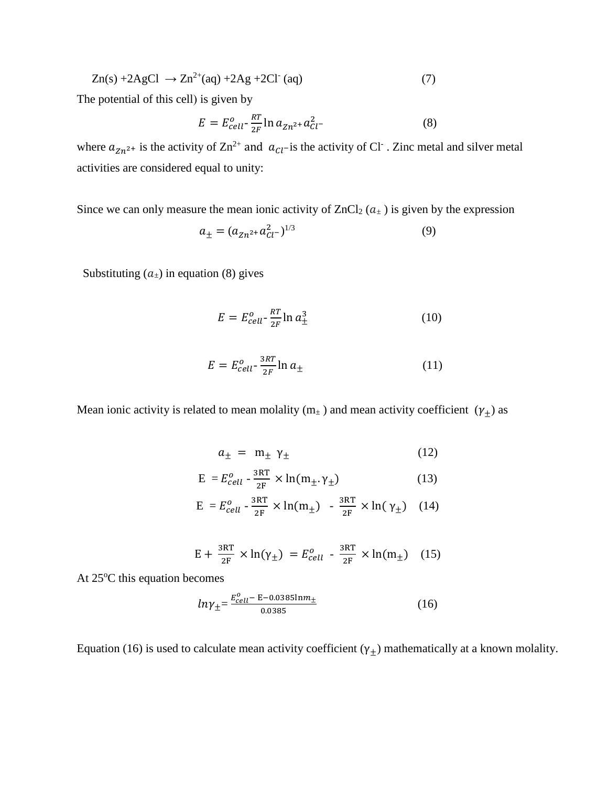$$
Zn(s) + 2AgCl \rightarrow Zn^{2+}(aq) + 2Ag + 2Cl^{(eq)} \tag{7}
$$

The potential of this cell) is given by

$$
E = E_{cell}^{o} - \frac{RT}{2F} \ln a_{Zn^{2+}} a_{Cl}^{2}
$$
 (8)

where  $a_{Zn^{2+}}$  is the activity of  $Zn^{2+}$  and  $a_{Cl}$ -is the activity of Cl<sup>-</sup>. Zinc metal and silver metal activities are considered equal to unity:

Since we can only measure the mean ionic activity of  $ZnCl_2 (a<sub>±</sub>)$  is given by the expression

$$
a_{\pm} = (a_{Zn^2} + a_{Cl}^2)^{1/3} \tag{9}
$$

Substituting  $(a_{\pm})$  in equation (8) gives

$$
E = E_{cell}^o - \frac{RT}{2F} \ln a_{\pm}^3 \tag{10}
$$

$$
E = E_{cell}^o - \frac{3RT}{2F} \ln a_{\pm} \tag{11}
$$

Mean ionic activity is related to mean molality ( $m_{\pm}$ ) and mean activity coefficient ( $\gamma_{\pm}$ ) as

$$
a_{\pm} = m_{\pm} \gamma_{\pm} \tag{12}
$$

$$
E = E_{cell}^o - \frac{3RT}{2F} \times \ln(m_\pm, \gamma_\pm)
$$
 (13)

$$
E = E_{cell}^o - \frac{3RT}{2F} \times \ln(m_\pm) - \frac{3RT}{2F} \times \ln(\gamma_\pm) \quad (14)
$$

$$
E + \frac{3RT}{2F} \times \ln(\gamma_{\pm}) = E_{cell}^{0} - \frac{3RT}{2F} \times \ln(m_{\pm})
$$
 (15)

At 25°C this equation becomes

$$
ln \gamma_{\pm} = \frac{E_{cell}^0 - \text{E} - 0.0385 \text{ln} m_{\pm}}{0.0385} \tag{16}
$$

Equation (16) is used to calculate mean activity coefficient ( $\gamma_{\pm}$ ) mathematically at a known molality.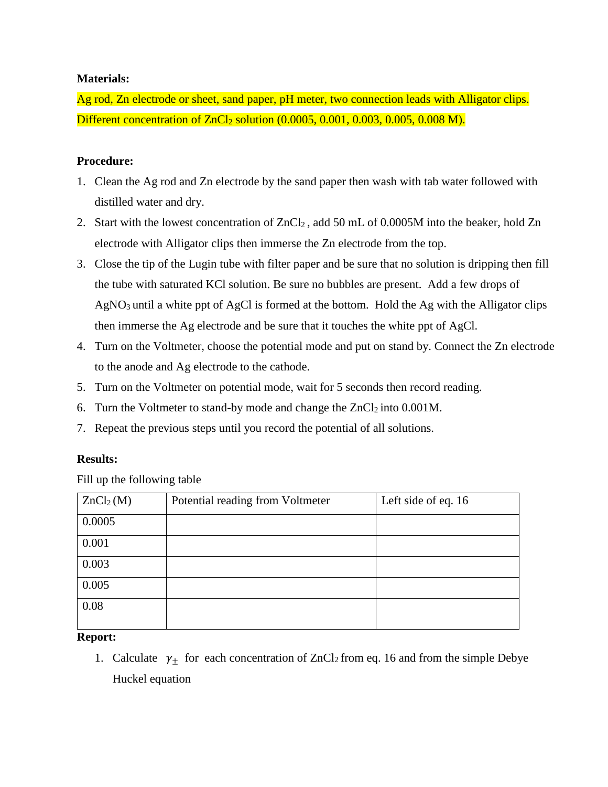# **Materials:**

Ag rod, Zn electrode or sheet, sand paper, pH meter, two connection leads with Alligator clips. Different concentration of  $ZnCl<sub>2</sub>$  solution (0.0005, 0.001, 0.003, 0.005, 0.008 M).

# **Procedure:**

- 1. Clean the Ag rod and Zn electrode by the sand paper then wash with tab water followed with distilled water and dry.
- 2. Start with the lowest concentration of  $ZnCl<sub>2</sub>$ , add 50 mL of 0.0005M into the beaker, hold Zn electrode with Alligator clips then immerse the Zn electrode from the top.
- 3. Close the tip of the Lugin tube with filter paper and be sure that no solution is dripping then fill the tube with saturated KCl solution. Be sure no bubbles are present. Add a few drops of AgNO3 until a white ppt of AgCl is formed at the bottom. Hold the Ag with the Alligator clips then immerse the Ag electrode and be sure that it touches the white ppt of AgCl.
- 4. Turn on the Voltmeter, choose the potential mode and put on stand by. Connect the Zn electrode to the anode and Ag electrode to the cathode.
- 5. Turn on the Voltmeter on potential mode, wait for 5 seconds then record reading.
- 6. Turn the Voltmeter to stand-by mode and change the  $ZnCl<sub>2</sub>$  into 0.001M.
- 7. Repeat the previous steps until you record the potential of all solutions.

# **Results:**

Fill up the following table

| ZnCl <sub>2</sub> (M) | Potential reading from Voltmeter | Left side of eq. 16 |
|-----------------------|----------------------------------|---------------------|
| 0.0005                |                                  |                     |
| 0.001                 |                                  |                     |
| 0.003                 |                                  |                     |
| 0.005                 |                                  |                     |
| 0.08                  |                                  |                     |
|                       |                                  |                     |

# **Report:**

1. Calculate  $\gamma_{\pm}$  for each concentration of ZnCl<sub>2</sub> from eq. 16 and from the simple Debye Huckel equation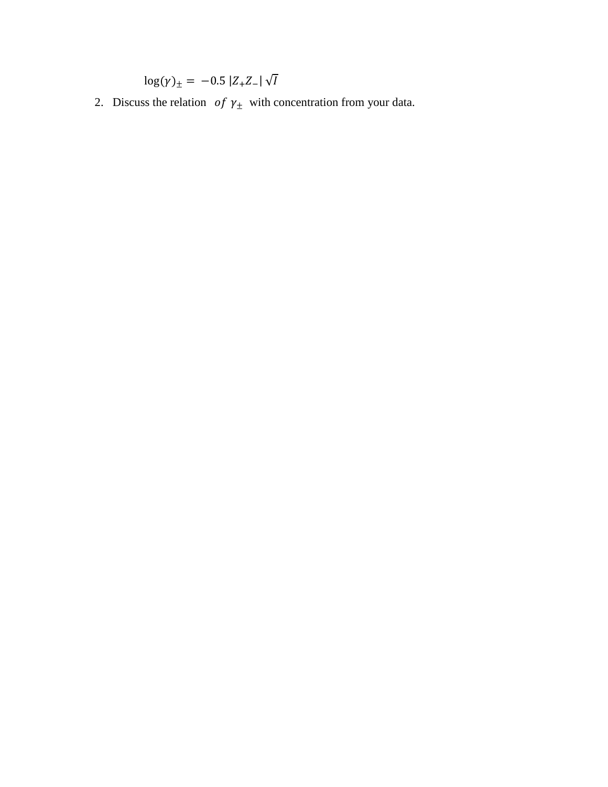$\log(\gamma)_\pm = -0.5 |Z_+Z_-| \sqrt{I}$ 

2. Discuss the relation of  $\gamma_{\pm}$  with concentration from your data.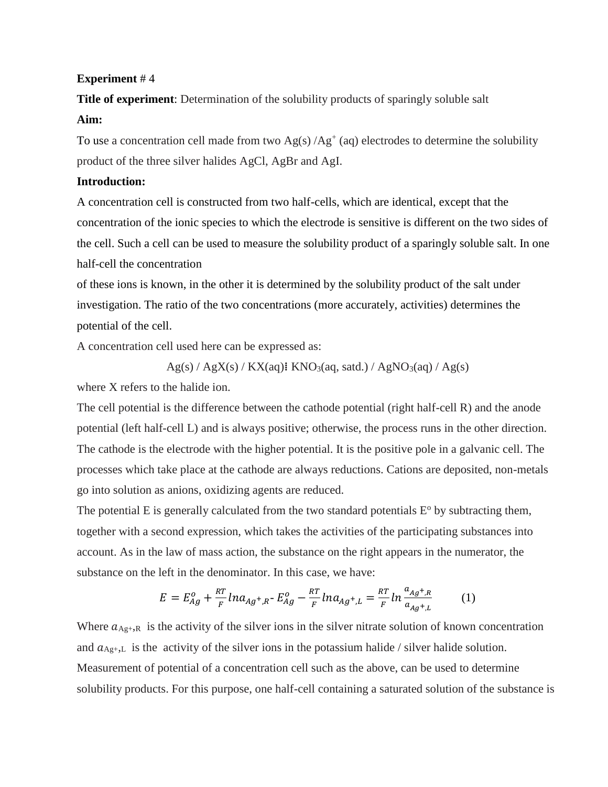**Title of experiment**: Determination of the solubility products of sparingly soluble salt **Aim:** 

To use a concentration cell made from two  $Ag(s)/Ag^+(aq)$  electrodes to determine the solubility product of the three silver halides AgCl, AgBr and AgI.

### **Introduction:**

A concentration cell is constructed from two half-cells, which are identical, except that the concentration of the ionic species to which the electrode is sensitive is different on the two sides of the cell. Such a cell can be used to measure the solubility product of a sparingly soluble salt. In one half-cell the concentration

of these ions is known, in the other it is determined by the solubility product of the salt under investigation. The ratio of the two concentrations (more accurately, activities) determines the potential of the cell.

A concentration cell used here can be expressed as:

$$
Ag(s) / AgX(s) / KX(aq)
$$
:  $KNO_3(aq, satal.) / AgNO_3(aq) / Ag(s)$ 

where X refers to the halide ion.

The cell potential is the difference between the cathode potential (right half-cell R) and the anode potential (left half-cell L) and is always positive; otherwise, the process runs in the other direction. The cathode is the electrode with the higher potential. It is the positive pole in a galvanic cell. The processes which take place at the cathode are always reductions. Cations are deposited, non-metals go into solution as anions, oxidizing agents are reduced.

The potential E is generally calculated from the two standard potentials  $E<sup>o</sup>$  by subtracting them, together with a second expression, which takes the activities of the participating substances into account. As in the law of mass action, the substance on the right appears in the numerator, the substance on the left in the denominator. In this case, we have:

$$
E = E_{Ag}^{o} + \frac{RT}{F} ln a_{Ag^{+},R^{-}} E_{Ag}^{o} - \frac{RT}{F} ln a_{Ag^{+},L} = \frac{RT}{F} ln \frac{a_{Ag^{+},R}}{a_{Ag^{+},L}}
$$
(1)

Where  $a_{\text{Ag+},R}$  is the activity of the silver ions in the silver nitrate solution of known concentration and  $a_{\text{Ag}+,L}$  is the activity of the silver ions in the potassium halide / silver halide solution. Measurement of potential of a concentration cell such as the above, can be used to determine solubility products. For this purpose, one half-cell containing a saturated solution of the substance is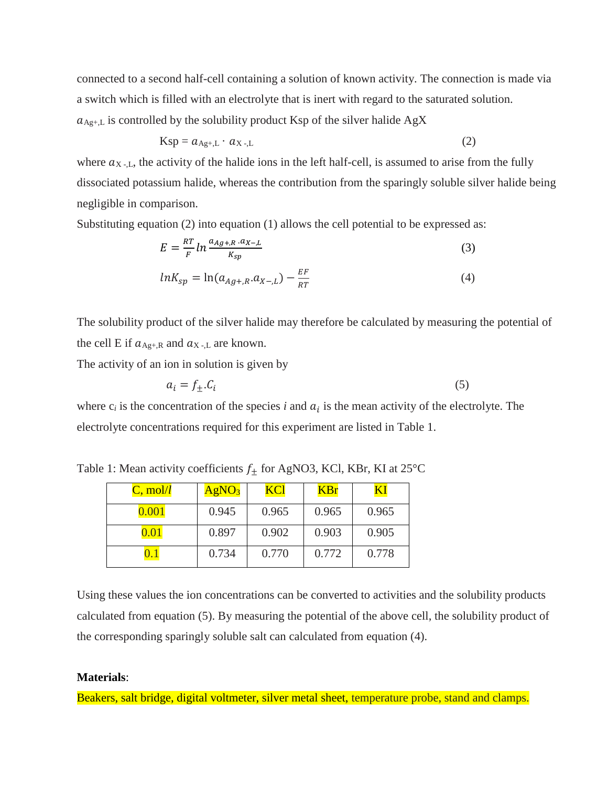connected to a second half-cell containing a solution of known activity. The connection is made via a switch which is filled with an electrolyte that is inert with regard to the saturated solution.  $a_{\text{Ag+},L}$  is controlled by the solubility product Ksp of the silver halide AgX

$$
Ksp = a_{Ag+,L} \cdot a_{X-,L} \tag{2}
$$

where  $a_{X}$ , the activity of the halide ions in the left half-cell, is assumed to arise from the fully dissociated potassium halide, whereas the contribution from the sparingly soluble silver halide being negligible in comparison.

Substituting equation (2) into equation (1) allows the cell potential to be expressed as:

$$
E = \frac{RT}{F} \ln \frac{a_{Ag+R} \cdot a_{X-L}}{K_{sp}}
$$
 (3)

$$
lnK_{sp} = ln(a_{Ag+,R}.a_{X-,L}) - \frac{EF}{RT}
$$
\n(4)

The solubility product of the silver halide may therefore be calculated by measuring the potential of the cell E if  $a_{\text{Ag+},R}$  and  $a_{\text{X-},L}$  are known.

The activity of an ion in solution is given by

$$
a_i = f_{\pm}.C_i \tag{5}
$$

where  $c_i$  is the concentration of the species  $i$  and  $a_i$  is the mean activity of the electrolyte. The electrolyte concentrations required for this experiment are listed in Table 1.

Table 1: Mean activity coefficients  $f_{\pm}$  for AgNO3, KCl, KBr, KI at 25°C

| $C, \text{mol}/l$ | AgNO <sub>3</sub> | <u>KCl</u> | <b>KBr</b> | KI    |
|-------------------|-------------------|------------|------------|-------|
| $0.001\,$         | 0.945             | 0.965      | 0.965      | 0.965 |
| $0.01\,$          | 0.897             | 0.902      | 0.903      | 0.905 |
|                   | 0.734             | 0.770      | 0.772      | 0.778 |

Using these values the ion concentrations can be converted to activities and the solubility products calculated from equation (5). By measuring the potential of the above cell, the solubility product of the corresponding sparingly soluble salt can calculated from equation (4).

#### **Materials**:

Beakers, salt bridge, digital voltmeter, silver metal sheet, temperature probe, stand and clamps.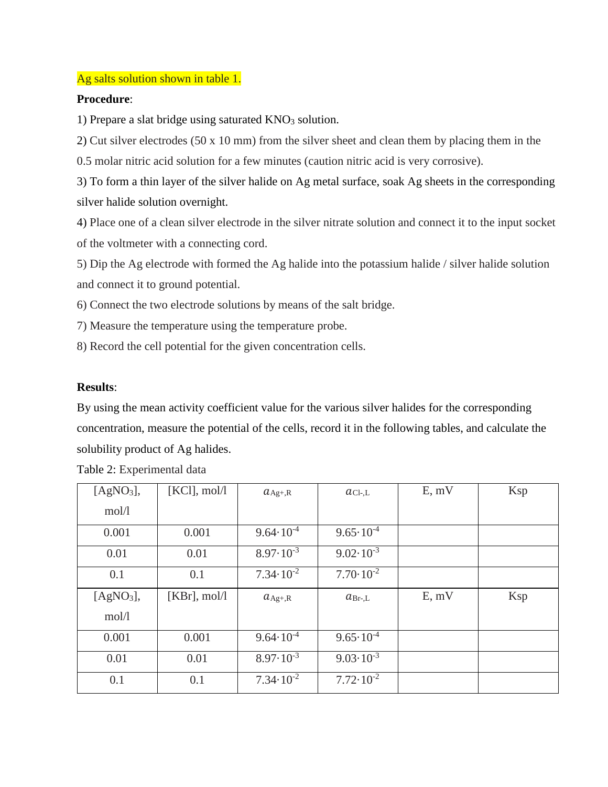### Ag salts solution shown in table 1.

### **Procedure**:

1) Prepare a slat bridge using saturated  $KNO<sub>3</sub>$  solution.

2) Cut silver electrodes (50 x 10 mm) from the silver sheet and clean them by placing them in the

0.5 molar nitric acid solution for a few minutes (caution nitric acid is very corrosive).

3) To form a thin layer of the silver halide on Ag metal surface, soak Ag sheets in the corresponding silver halide solution overnight.

4) Place one of a clean silver electrode in the silver nitrate solution and connect it to the input socket of the voltmeter with a connecting cord.

5) Dip the Ag electrode with formed the Ag halide into the potassium halide / silver halide solution and connect it to ground potential.

6) Connect the two electrode solutions by means of the salt bridge.

7) Measure the temperature using the temperature probe.

8) Record the cell potential for the given concentration cells.

## **Results**:

By using the mean activity coefficient value for the various silver halides for the corresponding concentration, measure the potential of the cells, record it in the following tables, and calculate the solubility product of Ag halides.

| [AgNO <sub>3</sub> ], | [KCl], mol/l    | $a_{\text{Ag}+,R}$   | $ac_{l-L}$           | E, mV | Ksp |
|-----------------------|-----------------|----------------------|----------------------|-------|-----|
| mol/l                 |                 |                      |                      |       |     |
| 0.001                 | 0.001           | $9.64 \cdot 10^{-4}$ | $9.65 \cdot 10^{-4}$ |       |     |
| 0.01                  | 0.01            | $8.97 \cdot 10^{-3}$ | $9.02 \cdot 10^{-3}$ |       |     |
| 0.1                   | 0.1             | $7.34 \cdot 10^{-2}$ | $7.70 \cdot 10^{-2}$ |       |     |
|                       |                 |                      |                      |       |     |
| [AgNO <sub>3</sub> ], | $[KBr]$ , mol/l | $a_{\text{Ag}+,R}$   | $a_{Br-L}$           | E, mV | Ksp |
| mol/l                 |                 |                      |                      |       |     |
| 0.001                 | 0.001           | $9.64 \cdot 10^{-4}$ | $9.65 \cdot 10^{-4}$ |       |     |
| 0.01                  | 0.01            | $8.97 \cdot 10^{-3}$ | $9.03 \cdot 10^{-3}$ |       |     |

Table 2: Experimental data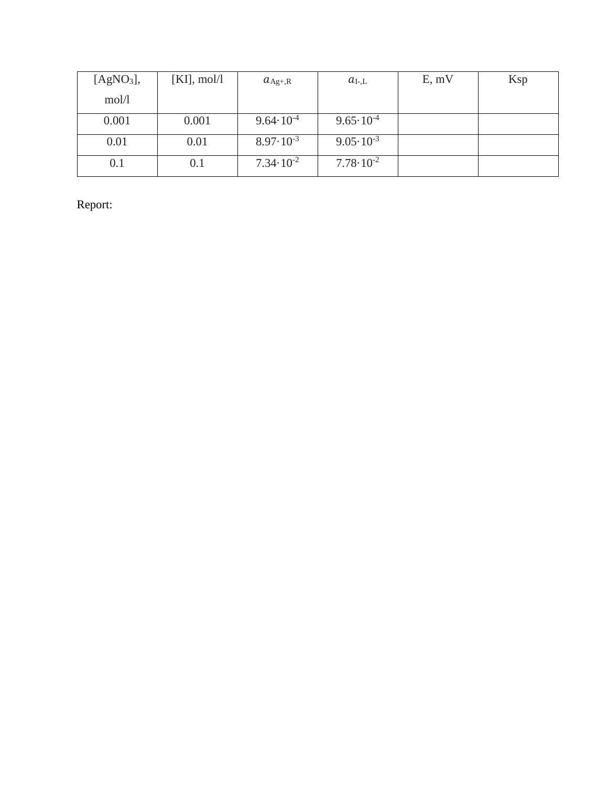| [AgNO <sub>3</sub> ], | $[KI], \text{mol}/l$ | $a_{\text{Ag+,R}}$   | $a_{\rm I-L}$        | E, mV | Ksp |
|-----------------------|----------------------|----------------------|----------------------|-------|-----|
| mol/l                 |                      |                      |                      |       |     |
| 0.001                 | 0.001                | $9.64 \cdot 10^{-4}$ | $9.65 \cdot 10^{-4}$ |       |     |
| 0.01                  | 0.01                 | $8.97 \cdot 10^{-3}$ | $9.05 \cdot 10^{-3}$ |       |     |
| 0.1                   | 0.1                  | $7.34 \cdot 10^{-2}$ | $7.78 \cdot 10^{-2}$ |       |     |

Report: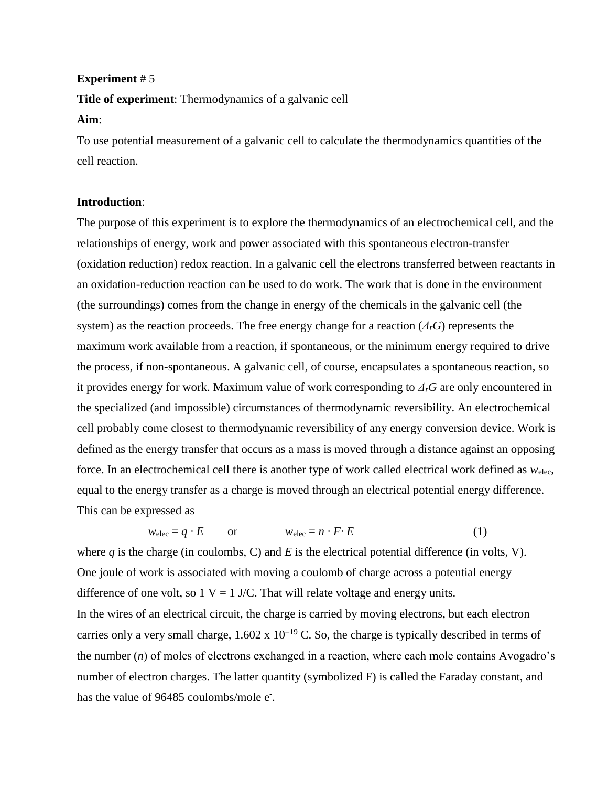**Title of experiment**: Thermodynamics of a galvanic cell

#### **Aim**:

To use potential measurement of a galvanic cell to calculate the thermodynamics quantities of the cell reaction.

#### **Introduction**:

The purpose of this experiment is to explore the thermodynamics of an electrochemical cell, and the relationships of energy, work and power associated with this spontaneous electron-transfer (oxidation reduction) redox reaction. In a galvanic cell the electrons transferred between reactants in an oxidation-reduction reaction can be used to do work. The work that is done in the environment (the surroundings) comes from the change in energy of the chemicals in the galvanic cell (the system) as the reaction proceeds. The free energy change for a reaction (*ΔrG*) represents the maximum work available from a reaction, if spontaneous, or the minimum energy required to drive the process, if non-spontaneous. A galvanic cell, of course, encapsulates a spontaneous reaction, so it provides energy for work. Maximum value of work corresponding to *ΔrG* are only encountered in the specialized (and impossible) circumstances of thermodynamic reversibility. An electrochemical cell probably come closest to thermodynamic reversibility of any energy conversion device. Work is defined as the energy transfer that occurs as a mass is moved through a distance against an opposing force. In an electrochemical cell there is another type of work called electrical work defined as *w*elec, equal to the energy transfer as a charge is moved through an electrical potential energy difference. This can be expressed as

$$
w_{\text{elec}} = q \cdot E \qquad \text{or} \qquad \qquad w_{\text{elec}} = n \cdot F \cdot E \tag{1}
$$

where  $q$  is the charge (in coulombs, C) and  $E$  is the electrical potential difference (in volts, V). One joule of work is associated with moving a coulomb of charge across a potential energy difference of one volt, so  $1 \text{ V} = 1 \text{ J/C}$ . That will relate voltage and energy units. In the wires of an electrical circuit, the charge is carried by moving electrons, but each electron carries only a very small charge,  $1.602 \times 10^{-19}$  C. So, the charge is typically described in terms of the number (*n*) of moles of electrons exchanged in a reaction, where each mole contains Avogadro's number of electron charges. The latter quantity (symbolized F) is called the Faraday constant, and has the value of 96485 coulombs/mole e<sup>-</sup>.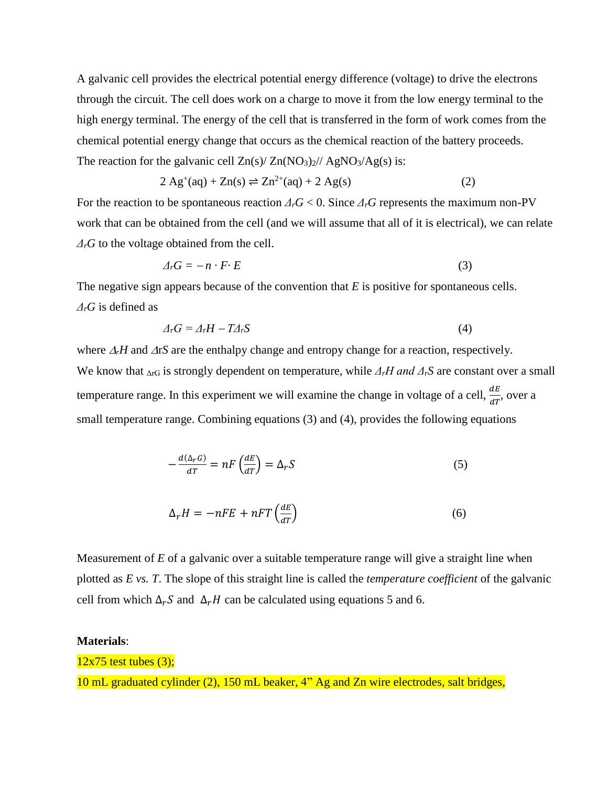A galvanic cell provides the electrical potential energy difference (voltage) to drive the electrons through the circuit. The cell does work on a charge to move it from the low energy terminal to the high energy terminal. The energy of the cell that is transferred in the form of work comes from the chemical potential energy change that occurs as the chemical reaction of the battery proceeds. The reaction for the galvanic cell  $Zn(s)/Zn(NO<sub>3</sub>)<sub>2</sub>)/AgNO<sub>3</sub>/Ag(s)$  is:

$$
2 Ag+(aq) + Zn(s) \rightleftharpoons Zn2+(aq) + 2 Ag(s)
$$
 (2)

For the reaction to be spontaneous reaction  $\Delta_r G < 0$ . Since  $\Delta_r G$  represents the maximum non-PV work that can be obtained from the cell (and we will assume that all of it is electrical), we can relate *ΔrG* to the voltage obtained from the cell.

$$
\Delta_r G = -n \cdot F \cdot E \tag{3}
$$

The negative sign appears because of the convention that *E* is positive for spontaneous cells. *ΔrG* is defined as

$$
\Delta_r G = \Delta_r H - T \Delta_r S \tag{4}
$$

where  $\Delta_f H$  and  $\Delta rS$  are the enthalpy change and entropy change for a reaction, respectively. We know that ΔrG is strongly dependent on temperature, while *ΔrH and ΔrS* are constant over a small temperature range. In this experiment we will examine the change in voltage of a cell,  $\frac{dE}{dT}$ , over a small temperature range. Combining equations (3) and (4), provides the following equations

$$
-\frac{d(\Delta_r G)}{dT} = nF\left(\frac{dE}{dT}\right) = \Delta_r S\tag{5}
$$

$$
\Delta_r H = -nFE + nFT\left(\frac{dE}{dT}\right) \tag{6}
$$

Measurement of *E* of a galvanic over a suitable temperature range will give a straight line when plotted as *E vs. T*. The slope of this straight line is called the *temperature coefficient* of the galvanic cell from which  $\Delta_r S$  and  $\Delta_r H$  can be calculated using equations 5 and 6.

#### **Materials**:

#### $12x75$  test tubes  $(3)$ ;

10 mL graduated cylinder (2), 150 mL beaker, 4" Ag and Zn wire electrodes, salt bridges,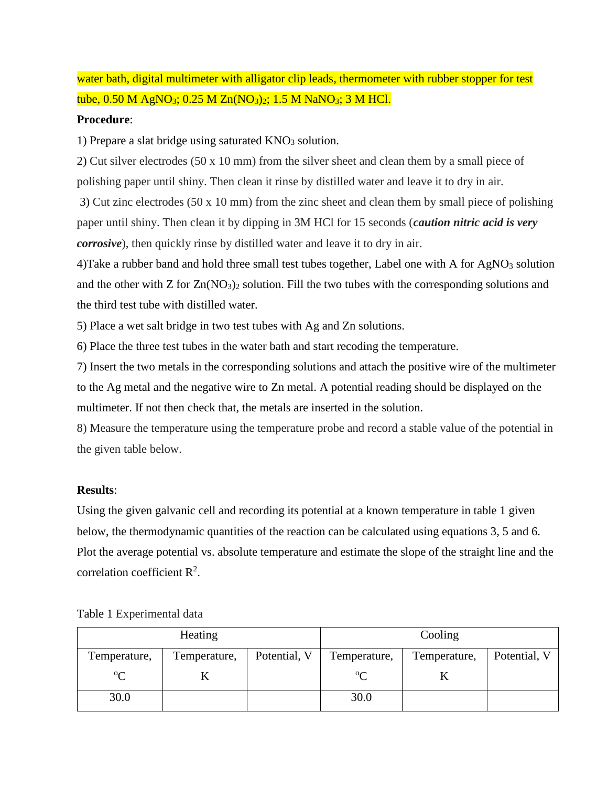water bath, digital multimeter with alligator clip leads, thermometer with rubber stopper for test tube,  $0.50$  M AgNO<sub>3</sub>;  $0.25$  M Zn(NO<sub>3</sub>)<sub>2</sub>;  $1.5$  M NaNO<sub>3</sub>;  $3$  M HCl.

### **Procedure**:

1) Prepare a slat bridge using saturated  $KNO<sub>3</sub>$  solution.

2) Cut silver electrodes (50 x 10 mm) from the silver sheet and clean them by a small piece of polishing paper until shiny. Then clean it rinse by distilled water and leave it to dry in air.

3) Cut zinc electrodes (50 x 10 mm) from the zinc sheet and clean them by small piece of polishing paper until shiny. Then clean it by dipping in 3M HCl for 15 seconds (*caution nitric acid is very corrosive*), then quickly rinse by distilled water and leave it to dry in air.

4)Take a rubber band and hold three small test tubes together, Label one with A for AgNO<sub>3</sub> solution and the other with  $Z$  for  $Zn(NO_3)$  solution. Fill the two tubes with the corresponding solutions and the third test tube with distilled water.

5) Place a wet salt bridge in two test tubes with Ag and Zn solutions.

6) Place the three test tubes in the water bath and start recoding the temperature.

7) Insert the two metals in the corresponding solutions and attach the positive wire of the multimeter to the Ag metal and the negative wire to Zn metal. A potential reading should be displayed on the multimeter. If not then check that, the metals are inserted in the solution.

8) Measure the temperature using the temperature probe and record a stable value of the potential in the given table below.

### **Results**:

Using the given galvanic cell and recording its potential at a known temperature in table 1 given below, the thermodynamic quantities of the reaction can be calculated using equations 3, 5 and 6. Plot the average potential vs. absolute temperature and estimate the slope of the straight line and the correlation coefficient  $\mathbb{R}^2$ .

| Heating      |              |              |              | Cooling      |              |
|--------------|--------------|--------------|--------------|--------------|--------------|
| Temperature, | Temperature, | Potential, V | Temperature, | Temperature, | Potential, V |
| $\rm ^{o}C$  |              |              | $\rm ^{o}C$  |              |              |
| 30.0         |              |              | 30.0         |              |              |

Table 1 Experimental data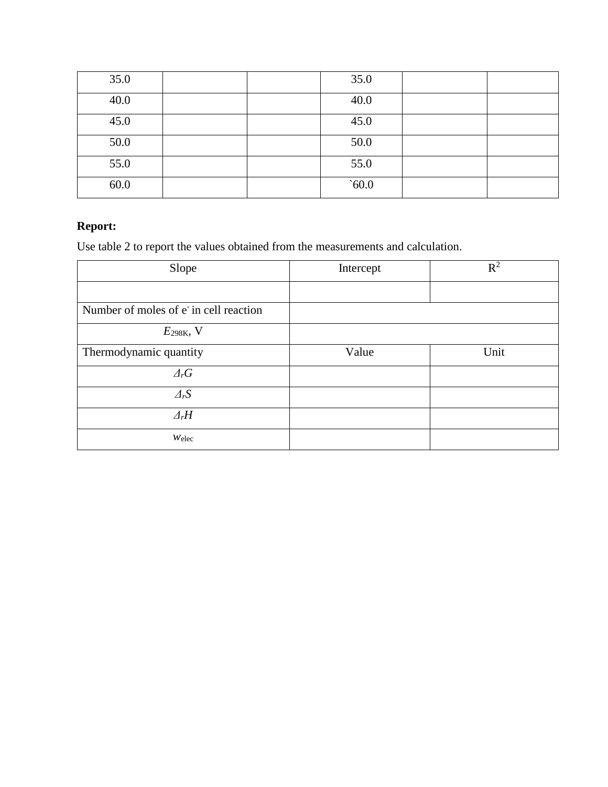| 35.0 |  | 35.0 |  |
|------|--|------|--|
| 40.0 |  | 40.0 |  |
| 45.0 |  | 45.0 |  |
| 50.0 |  | 50.0 |  |
| 55.0 |  | 55.0 |  |
| 60.0 |  | 60.0 |  |

# **Report:**

Use table 2 to report the values obtained from the measurements and calculation.

| Slope                                 | Intercept | $R^2$ |
|---------------------------------------|-----------|-------|
|                                       |           |       |
| Number of moles of e in cell reaction |           |       |
| $E_{298K}$ , V                        |           |       |
| Thermodynamic quantity                | Value     | Unit  |
| $\varDelta_r G$                       |           |       |
| $\varDelta_rS$                        |           |       |
| $\varDelta_r H$                       |           |       |
| $W$ elec                              |           |       |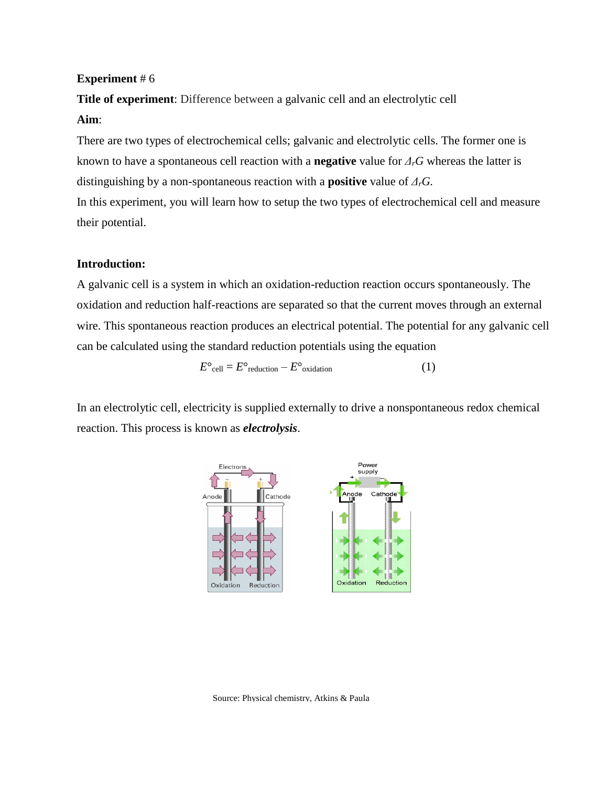**Title of experiment**: Difference between a galvanic cell and an electrolytic cell

### **Aim**:

There are two types of electrochemical cells; galvanic and electrolytic cells. The former one is known to have a spontaneous cell reaction with a **negative** value for *ΔrG* whereas the latter is distinguishing by a non-spontaneous reaction with a **positive** value of *ΔrG.*

In this experiment, you will learn how to setup the two types of electrochemical cell and measure their potential.

#### **Introduction:**

A galvanic cell is a system in which an oxidation-reduction reaction occurs spontaneously. The oxidation and reduction half-reactions are separated so that the current moves through an external wire. This spontaneous reaction produces an electrical potential. The potential for any galvanic cell can be calculated using the standard reduction potentials using the equation

$$
E^{\circ}{}_{\text{cell}} = E^{\circ}{}_{\text{reduction}} - E^{\circ}{}_{\text{oxidation}} \tag{1}
$$

In an electrolytic cell, electricity is supplied externally to drive a nonspontaneous redox chemical reaction. This process is known as *electrolysis*.



Source: Physical chemistry, Atkins & Paula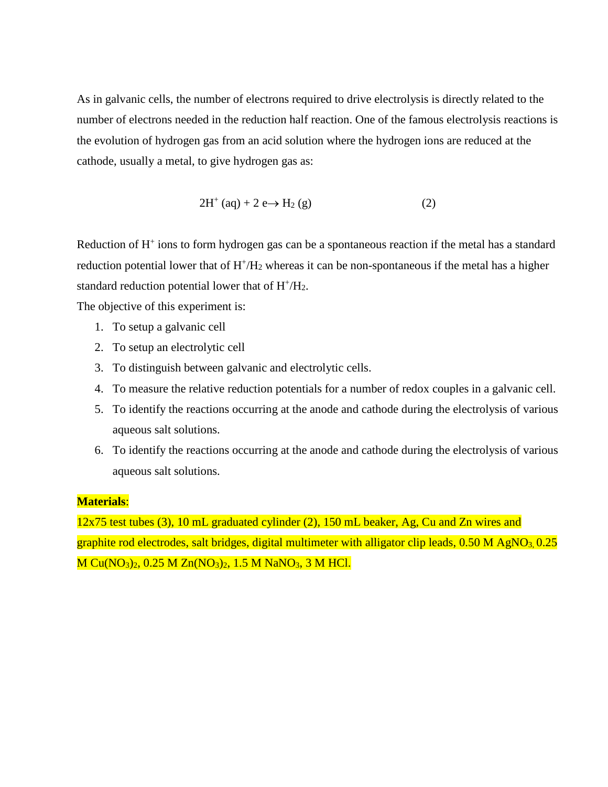As in galvanic cells, the number of electrons required to drive electrolysis is directly related to the number of electrons needed in the reduction half reaction. One of the famous electrolysis reactions is the evolution of hydrogen gas from an acid solution where the hydrogen ions are reduced at the cathode, usually a metal, to give hydrogen gas as:

$$
2H^{+} (aq) + 2 e \rightarrow H_{2} (g)
$$
 (2)

Reduction of H<sup>+</sup> ions to form hydrogen gas can be a spontaneous reaction if the metal has a standard reduction potential lower that of  $H^+/H_2$  whereas it can be non-spontaneous if the metal has a higher standard reduction potential lower that of  $H^+/H_2$ .

The objective of this experiment is:

- 1. To setup a galvanic cell
- 2. To setup an electrolytic cell
- 3. To distinguish between galvanic and electrolytic cells.
- 4. To measure the relative reduction potentials for a number of redox couples in a galvanic cell.
- 5. To identify the reactions occurring at the anode and cathode during the electrolysis of various aqueous salt solutions.
- 6. To identify the reactions occurring at the anode and cathode during the electrolysis of various aqueous salt solutions.

#### **Materials**:

12x75 test tubes (3), 10 mL graduated cylinder (2), 150 mL beaker, Ag, Cu and Zn wires and graphite rod electrodes, salt bridges, digital multimeter with alligator clip leads,  $0.50$  M AgNO<sub>3,</sub>  $0.25$ M Cu(NO<sub>3</sub>)<sub>2</sub>, 0.25 M Zn(NO<sub>3</sub>)<sub>2</sub>, 1.5 M NaNO<sub>3</sub>, 3 M HCl.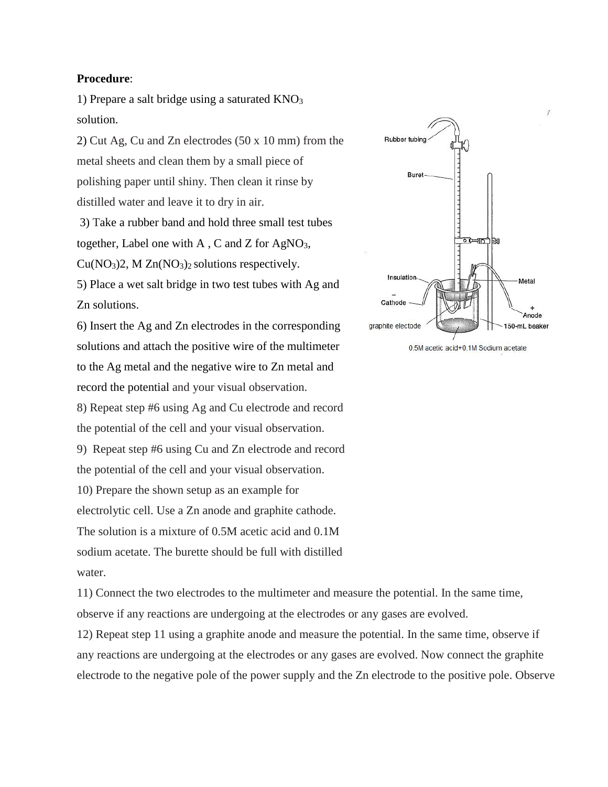#### **Procedure**:

1) Prepare a salt bridge using a saturated  $KNO<sub>3</sub>$ solution.

2) Cut Ag, Cu and Zn electrodes (50 x 10 mm) from the metal sheets and clean them by a small piece of polishing paper until shiny. Then clean it rinse by distilled water and leave it to dry in air.

3) Take a rubber band and hold three small test tubes together, Label one with A, C and Z for  $AgNO<sub>3</sub>$ ,  $Cu(NO<sub>3</sub>)<sub>2</sub>$ , M  $Zn(NO<sub>3</sub>)<sub>2</sub>$  solutions respectively.

5) Place a wet salt bridge in two test tubes with Ag and Zn solutions.

6) Insert the Ag and Zn electrodes in the corresponding solutions and attach the positive wire of the multimeter to the Ag metal and the negative wire to Zn metal and record the potential and your visual observation. 8) Repeat step #6 using Ag and Cu electrode and record the potential of the cell and your visual observation. 9) Repeat step #6 using Cu and Zn electrode and record the potential of the cell and your visual observation. 10) Prepare the shown setup as an example for electrolytic cell. Use a Zn anode and graphite cathode. The solution is a mixture of 0.5M acetic acid and 0.1M sodium acetate. The burette should be full with distilled water.



11) Connect the two electrodes to the multimeter and measure the potential. In the same time, observe if any reactions are undergoing at the electrodes or any gases are evolved.

12) Repeat step 11 using a graphite anode and measure the potential. In the same time, observe if any reactions are undergoing at the electrodes or any gases are evolved. Now connect the graphite electrode to the negative pole of the power supply and the Zn electrode to the positive pole. Observe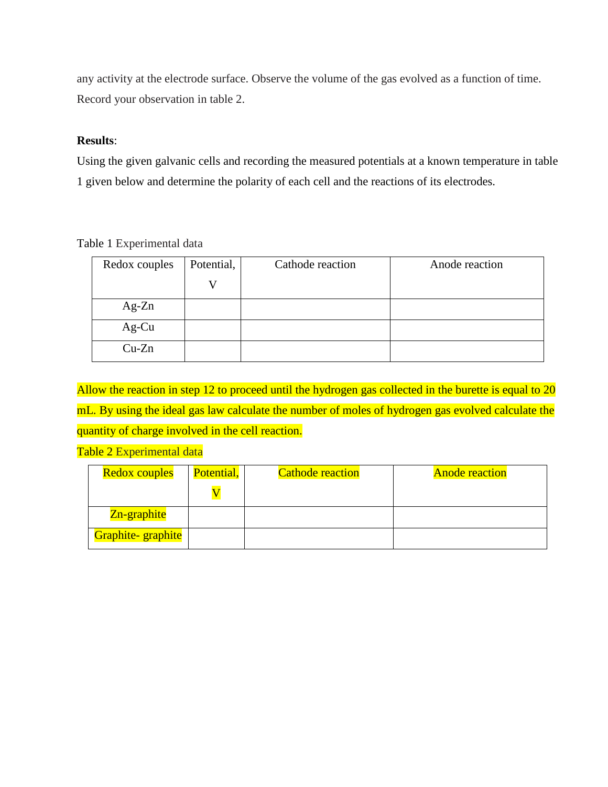any activity at the electrode surface. Observe the volume of the gas evolved as a function of time. Record your observation in table 2.

# **Results**:

Using the given galvanic cells and recording the measured potentials at a known temperature in table 1 given below and determine the polarity of each cell and the reactions of its electrodes.

|  | Table 1 Experimental data |  |
|--|---------------------------|--|
|--|---------------------------|--|

| Redox couples | Potential, | Cathode reaction | Anode reaction |
|---------------|------------|------------------|----------------|
|               | ٦Z         |                  |                |
| $Ag-Zn$       |            |                  |                |
| Ag-Cu         |            |                  |                |
| $Cu-Zn$       |            |                  |                |

Allow the reaction in step 12 to proceed until the hydrogen gas collected in the burette is equal to 20 mL. By using the ideal gas law calculate the number of moles of hydrogen gas evolved calculate the quantity of charge involved in the cell reaction.

Table 2 Experimental data

| <b>Redox couples</b> | Potential, | <b>Cathode reaction</b> | <b>Anode reaction</b> |
|----------------------|------------|-------------------------|-----------------------|
|                      |            |                         |                       |
| Zn-graphite          |            |                         |                       |
| Graphite-graphite    |            |                         |                       |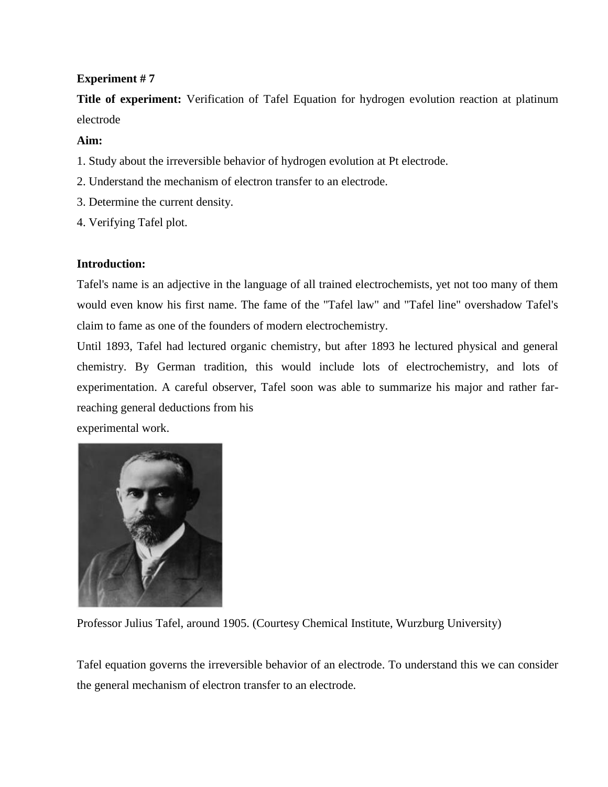**Title of experiment:** Verification of Tafel Equation for hydrogen evolution reaction at platinum electrode

# **Aim:**

- 1. Study about the irreversible behavior of hydrogen evolution at Pt electrode.
- 2. Understand the mechanism of electron transfer to an electrode.
- 3. Determine the current density.
- 4. Verifying Tafel plot.

# **Introduction:**

Tafel's name is an adjective in the language of all trained electrochemists, yet not too many of them would even know his first name. The fame of the "Tafel law" and "Tafel line" overshadow Tafel's claim to fame as one of the founders of modern electrochemistry.

Until 1893, Tafel had lectured organic chemistry, but after 1893 he lectured physical and general chemistry. By German tradition, this would include lots of electrochemistry, and lots of experimentation. A careful observer, Tafel soon was able to summarize his major and rather farreaching general deductions from his

experimental work.



Professor Julius Tafel, around 1905. (Courtesy Chemical Institute, Wurzburg University)

Tafel equation governs the irreversible behavior of an electrode. To understand this we can consider the general mechanism of electron transfer to an electrode.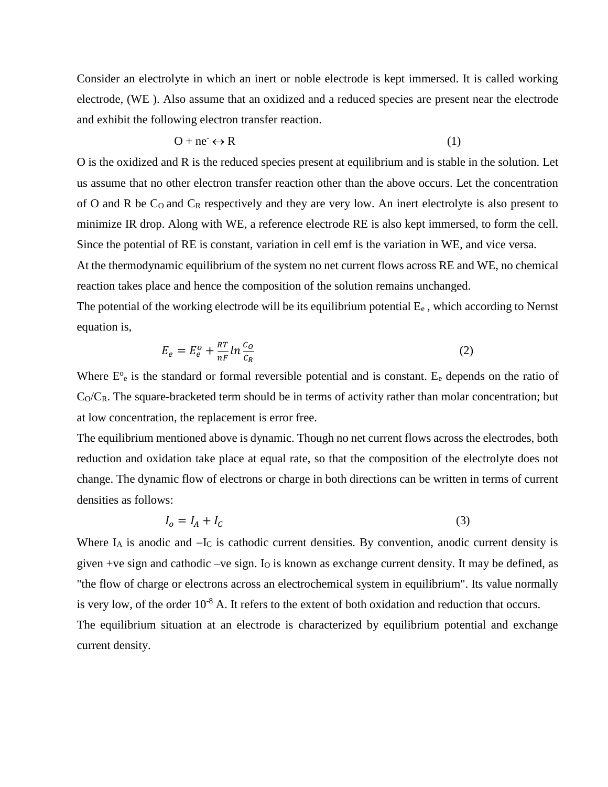Consider an electrolyte in which an inert or noble electrode is kept immersed. It is called working electrode, (WE ). Also assume that an oxidized and a reduced species are present near the electrode and exhibit the following electron transfer reaction.

$$
O + ne^{-} \leftrightarrow R
$$
 (1)

O is the oxidized and R is the reduced species present at equilibrium and is stable in the solution. Let us assume that no other electron transfer reaction other than the above occurs. Let the concentration of O and R be  $C_0$  and  $C_R$  respectively and they are very low. An inert electrolyte is also present to minimize IR drop. Along with WE, a reference electrode RE is also kept immersed, to form the cell. Since the potential of RE is constant, variation in cell emf is the variation in WE, and vice versa. At the thermodynamic equilibrium of the system no net current flows across RE and WE, no chemical reaction takes place and hence the composition of the solution remains unchanged.

The potential of the working electrode will be its equilibrium potential  $E_e$ , which according to Nernst equation is,

$$
E_e = E_e^o + \frac{RT}{nF} \ln \frac{c_o}{c_R} \tag{2}
$$

Where  $E^{\circ}$  is the standard or formal reversible potential and is constant. E<sub>e</sub> depends on the ratio of  $C_0/C_R$ . The square-bracketed term should be in terms of activity rather than molar concentration; but at low concentration, the replacement is error free.

The equilibrium mentioned above is dynamic. Though no net current flows across the electrodes, both reduction and oxidation take place at equal rate, so that the composition of the electrolyte does not change. The dynamic flow of electrons or charge in both directions can be written in terms of current densities as follows:

$$
I_o = I_A + I_C \tag{3}
$$

Where I<sub>A</sub> is anodic and −I<sub>C</sub> is cathodic current densities. By convention, anodic current density is given +ve sign and cathodic  $-ve$  sign. I<sub>O</sub> is known as exchange current density. It may be defined, as "the flow of charge or electrons across an electrochemical system in equilibrium". Its value normally is very low, of the order  $10^{-8}$  A. It refers to the extent of both oxidation and reduction that occurs. The equilibrium situation at an electrode is characterized by equilibrium potential and exchange current density.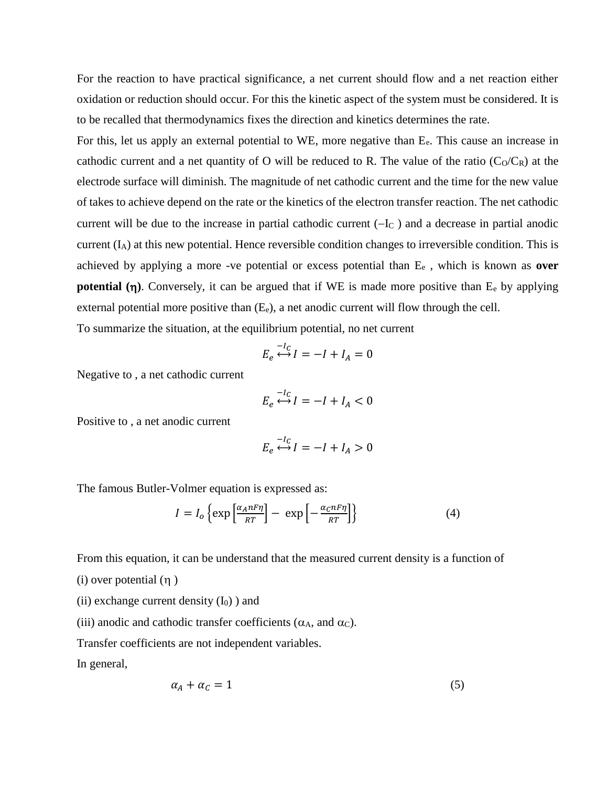For the reaction to have practical significance, a net current should flow and a net reaction either oxidation or reduction should occur. For this the kinetic aspect of the system must be considered. It is to be recalled that thermodynamics fixes the direction and kinetics determines the rate.

For this, let us apply an external potential to WE, more negative than  $E_e$ . This cause an increase in cathodic current and a net quantity of O will be reduced to R. The value of the ratio  $(C_0/C_R)$  at the electrode surface will diminish. The magnitude of net cathodic current and the time for the new value of takes to achieve depend on the rate or the kinetics of the electron transfer reaction. The net cathodic current will be due to the increase in partial cathodic current  $(-I_C)$  and a decrease in partial anodic current (IA) at this new potential. Hence reversible condition changes to irreversible condition. This is achieved by applying a more -ve potential or excess potential than E<sup>e</sup> , which is known as **over potential**  $(\eta)$ **. Conversely, it can be argued that if WE is made more positive than**  $E_e$  **by applying** external potential more positive than  $(E_e)$ , a net anodic current will flow through the cell.

To summarize the situation, at the equilibrium potential, no net current

$$
E_e \stackrel{-l_C}{\longleftrightarrow} I = -I + I_A = 0
$$

Negative to , a net cathodic current

$$
E_e \stackrel{-l_C}{\longleftrightarrow} I = -I + I_A < 0
$$

Positive to , a net anodic current

$$
E_e \stackrel{-I_C}{\longleftrightarrow} I = -I + I_A > 0
$$

The famous Butler-Volmer equation is expressed as:

$$
I = I_o \left\{ \exp\left[\frac{\alpha_A n F \eta}{RT}\right] - \exp\left[-\frac{\alpha_C n F \eta}{RT}\right] \right\}
$$
 (4)

From this equation, it can be understand that the measured current density is a function of

- (i) over potential  $(\eta)$
- (ii) exchange current density  $(I_0)$ ) and
- (iii) anodic and cathodic transfer coefficients ( $\alpha_A$ , and  $\alpha_C$ ).

Transfer coefficients are not independent variables.

In general,

$$
\alpha_A + \alpha_C = 1 \tag{5}
$$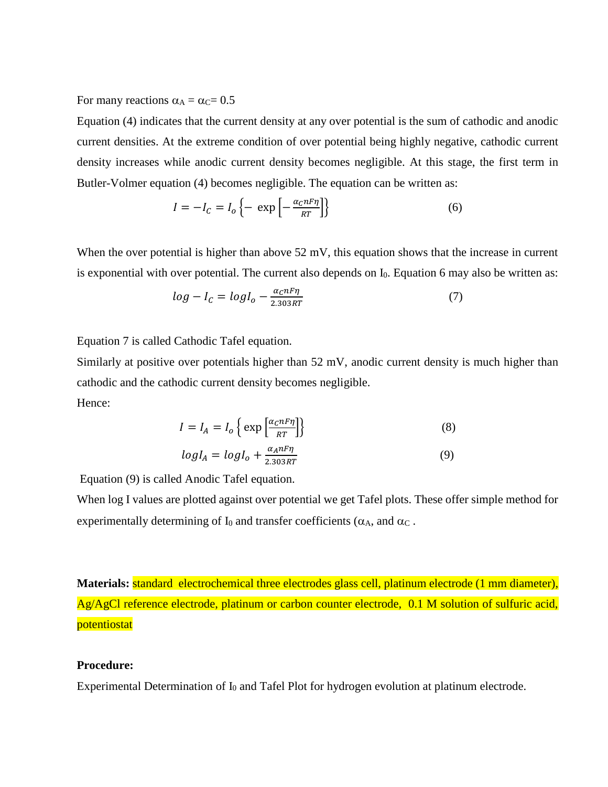For many reactions  $\alpha_A = \alpha_C = 0.5$ 

Equation (4) indicates that the current density at any over potential is the sum of cathodic and anodic current densities. At the extreme condition of over potential being highly negative, cathodic current density increases while anodic current density becomes negligible. At this stage, the first term in Butler-Volmer equation (4) becomes negligible. The equation can be written as:

$$
I = -I_C = I_o \left\{ - \exp\left[ -\frac{\alpha_C n F \eta}{RT} \right] \right\}
$$
 (6)

When the over potential is higher than above  $52 \text{ mV}$ , this equation shows that the increase in current is exponential with over potential. The current also depends on I<sub>0</sub>. Equation 6 may also be written as:

$$
log - I_c = log I_o - \frac{\alpha_c n F \eta}{2.303 RT}
$$
 (7)

Equation 7 is called Cathodic Tafel equation.

Similarly at positive over potentials higher than 52 mV, anodic current density is much higher than cathodic and the cathodic current density becomes negligible. Hence:

$$
I = I_A = I_o \left\{ \exp \left[ \frac{\alpha_C n F \eta}{RT} \right] \right\}
$$
 (8)

$$
logI_A = logI_0 + \frac{\alpha_A n F \eta}{2.303 RT}
$$
 (9)

Equation (9) is called Anodic Tafel equation.

When log I values are plotted against over potential we get Tafel plots. These offer simple method for experimentally determining of  $I_0$  and transfer coefficients ( $\alpha_A$ , and  $\alpha_C$ .

**Materials:** standard electrochemical three electrodes glass cell, platinum electrode (1 mm diameter), Ag/AgCl reference electrode, platinum or carbon counter electrode, 0.1 M solution of sulfuric acid, potentiostat

#### **Procedure:**

Experimental Determination of I<sub>0</sub> and Tafel Plot for hydrogen evolution at platinum electrode.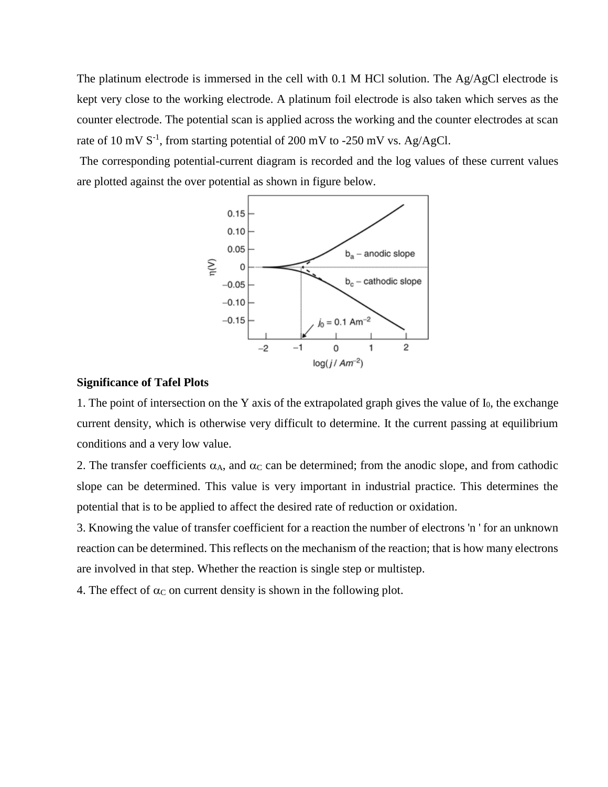The platinum electrode is immersed in the cell with 0.1 M HCl solution. The Ag/AgCl electrode is kept very close to the working electrode. A platinum foil electrode is also taken which serves as the counter electrode. The potential scan is applied across the working and the counter electrodes at scan rate of 10 mV  $S^{-1}$ , from starting potential of 200 mV to -250 mV vs. Ag/AgCl.

The corresponding potential-current diagram is recorded and the log values of these current values are plotted against the over potential as shown in figure below.



#### **Significance of Tafel Plots**

1. The point of intersection on the Y axis of the extrapolated graph gives the value of  $I_0$ , the exchange current density, which is otherwise very difficult to determine. It the current passing at equilibrium conditions and a very low value.

2. The transfer coefficients  $\alpha_A$ , and  $\alpha_C$  can be determined; from the anodic slope, and from cathodic slope can be determined. This value is very important in industrial practice. This determines the potential that is to be applied to affect the desired rate of reduction or oxidation.

3. Knowing the value of transfer coefficient for a reaction the number of electrons 'n ' for an unknown reaction can be determined. This reflects on the mechanism of the reaction; that is how many electrons are involved in that step. Whether the reaction is single step or multistep.

4. The effect of  $\alpha_C$  on current density is shown in the following plot.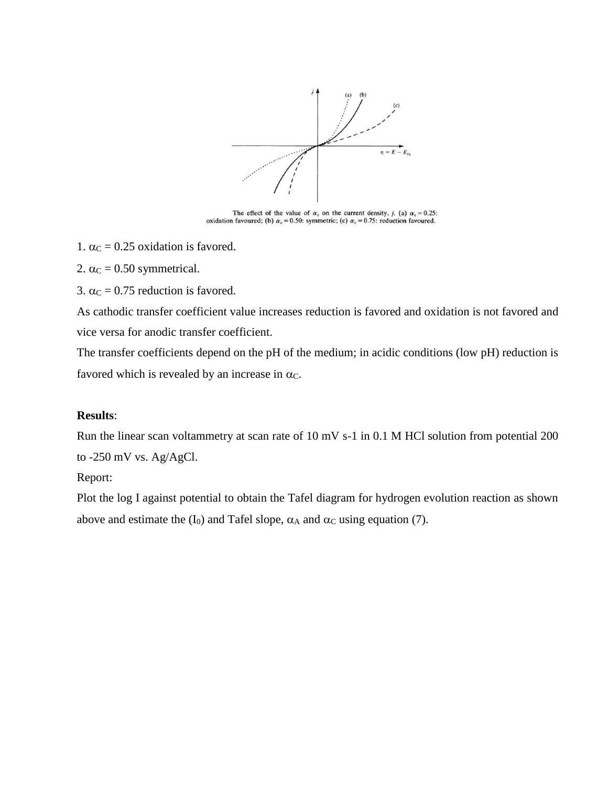

The effect of the value of  $\alpha_c$  on the current density, j. (a)  $\alpha_c = 0.25$ : oxidation favoured; (b)  $\alpha_c = 0.50$ : symmetric; (c)  $\alpha_c = 0.75$ : reduction favoured.

- 1.  $\alpha$ <sub>C</sub> = 0.25 oxidation is favored.
- 2.  $\alpha$ <sub>C</sub> = 0.50 symmetrical.
- 3.  $\alpha$ <sub>C</sub> = 0.75 reduction is favored.

As cathodic transfer coefficient value increases reduction is favored and oxidation is not favored and vice versa for anodic transfer coefficient.

The transfer coefficients depend on the pH of the medium; in acidic conditions (low pH) reduction is favored which is revealed by an increase in  $\alpha_c$ .

### **Results**:

Run the linear scan voltammetry at scan rate of 10 mV s-1 in 0.1 M HCl solution from potential 200 to -250 mV vs. Ag/AgCl.

### Report:

Plot the log I against potential to obtain the Tafel diagram for hydrogen evolution reaction as shown above and estimate the  $(I_0)$  and Tafel slope,  $\alpha_A$  and  $\alpha_C$  using equation (7).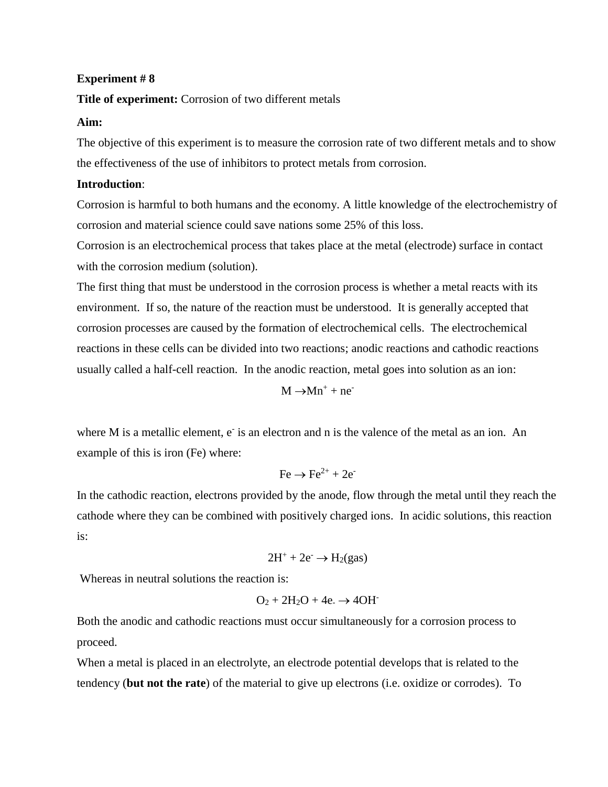### **Title of experiment:** Corrosion of two different metals

#### **Aim:**

The objective of this experiment is to measure the corrosion rate of two different metals and to show the effectiveness of the use of inhibitors to protect metals from corrosion.

### **Introduction**:

Corrosion is harmful to both humans and the economy. A little knowledge of the electrochemistry of corrosion and material science could save nations some 25% of this loss.

Corrosion is an electrochemical process that takes place at the metal (electrode) surface in contact with the corrosion medium (solution).

The first thing that must be understood in the corrosion process is whether a metal reacts with its environment. If so, the nature of the reaction must be understood. It is generally accepted that corrosion processes are caused by the formation of electrochemical cells. The electrochemical reactions in these cells can be divided into two reactions; anodic reactions and cathodic reactions usually called a half-cell reaction. In the anodic reaction, metal goes into solution as an ion:

 $M \rightarrow Mn^{+} + ne^{-}$ 

where M is a metallic element, e is an electron and n is the valence of the metal as an ion. An example of this is iron (Fe) where:

$$
\text{Fe} \rightarrow \text{Fe}^{2+} + 2\text{e}^{-}
$$

In the cathodic reaction, electrons provided by the anode, flow through the metal until they reach the cathode where they can be combined with positively charged ions. In acidic solutions, this reaction is:

$$
2H^+ + 2e^- \rightarrow H_2(gas)
$$

Whereas in neutral solutions the reaction is:

$$
O_2 + 2H_2O + 4e. \rightarrow 4OH^-
$$

Both the anodic and cathodic reactions must occur simultaneously for a corrosion process to proceed.

When a metal is placed in an electrolyte, an electrode potential develops that is related to the tendency (**but not the rate**) of the material to give up electrons (i.e. oxidize or corrodes). To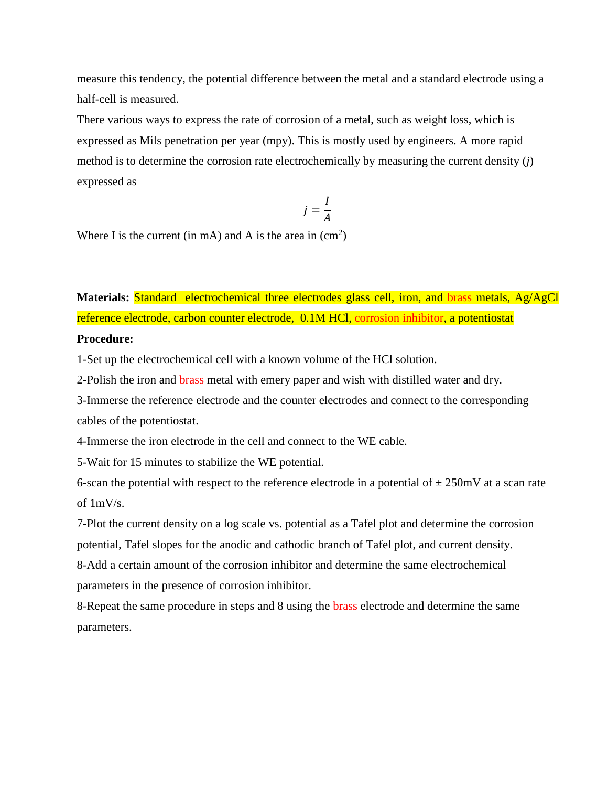measure this tendency, the potential difference between the metal and a standard electrode using a half-cell is measured.

There various ways to express the rate of corrosion of a metal, such as weight loss, which is expressed as Mils penetration per year (mpy). This is mostly used by engineers. A more rapid method is to determine the corrosion rate electrochemically by measuring the current density (*j*) expressed as

$$
j=\frac{I}{A}
$$

Where I is the current (in mA) and A is the area in  $\text{(cm}^2\text{)}$ 

**Materials:** Standard electrochemical three electrodes glass cell, iron, and brass metals, Ag/AgCl reference electrode, carbon counter electrode, 0.1M HCl, corrosion inhibitor, a potentiostat **Procedure:**

1-Set up the electrochemical cell with a known volume of the HCl solution.

2-Polish the iron and brass metal with emery paper and wish with distilled water and dry.

3-Immerse the reference electrode and the counter electrodes and connect to the corresponding cables of the potentiostat.

4-Immerse the iron electrode in the cell and connect to the WE cable.

5-Wait for 15 minutes to stabilize the WE potential.

6-scan the potential with respect to the reference electrode in a potential of  $\pm 250$ mV at a scan rate of 1mV/s.

7-Plot the current density on a log scale vs. potential as a Tafel plot and determine the corrosion potential, Tafel slopes for the anodic and cathodic branch of Tafel plot, and current density.

8-Add a certain amount of the corrosion inhibitor and determine the same electrochemical parameters in the presence of corrosion inhibitor.

8-Repeat the same procedure in steps and 8 using the brass electrode and determine the same parameters.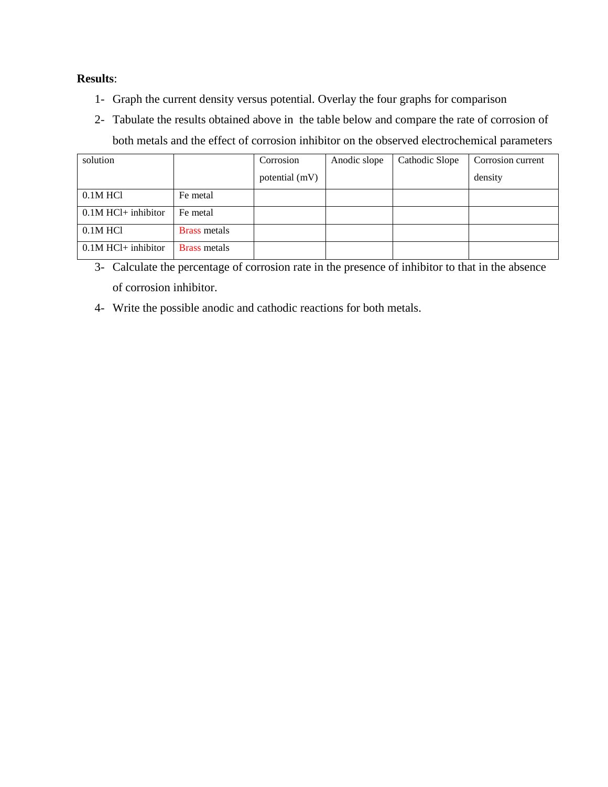# **Results**:

- 1- Graph the current density versus potential. Overlay the four graphs for comparison
- 2- Tabulate the results obtained above in the table below and compare the rate of corrosion of both metals and the effect of corrosion inhibitor on the observed electrochemical parameters

| solution              |                     | Corrosion      | Anodic slope | Cathodic Slope | Corrosion current |
|-----------------------|---------------------|----------------|--------------|----------------|-------------------|
|                       |                     | potential (mV) |              |                | density           |
| $0.1M$ HCl            | Fe metal            |                |              |                |                   |
| $0.1M$ HCl+ inhibitor | Fe metal            |                |              |                |                   |
| $0.1M$ HCl            | <b>Brass metals</b> |                |              |                |                   |
| $0.1M$ HCl+ inhibitor | <b>Brass metals</b> |                |              |                |                   |

<sup>3-</sup> Calculate the percentage of corrosion rate in the presence of inhibitor to that in the absence of corrosion inhibitor.

4- Write the possible anodic and cathodic reactions for both metals.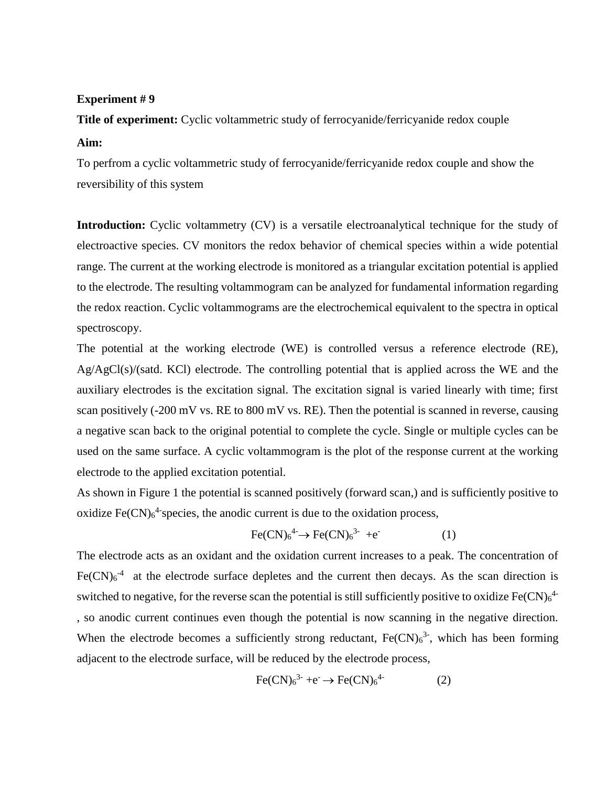**Title of experiment:** Cyclic voltammetric study of ferrocyanide/ferricyanide redox couple **Aim:**

To perfrom a cyclic voltammetric study of ferrocyanide/ferricyanide redox couple and show the reversibility of this system

**Introduction:** Cyclic voltammetry (CV) is a versatile electroanalytical technique for the study of electroactive species. CV monitors the redox behavior of chemical species within a wide potential range. The current at the working electrode is monitored as a triangular excitation potential is applied to the electrode. The resulting voltammogram can be analyzed for fundamental information regarding the redox reaction. Cyclic voltammograms are the electrochemical equivalent to the spectra in optical spectroscopy.

The potential at the working electrode (WE) is controlled versus a reference electrode (RE), Ag/AgCl(s)/(satd. KCl) electrode. The controlling potential that is applied across the WE and the auxiliary electrodes is the excitation signal. The excitation signal is varied linearly with time; first scan positively (-200 mV vs. RE to 800 mV vs. RE). Then the potential is scanned in reverse, causing a negative scan back to the original potential to complete the cycle. Single or multiple cycles can be used on the same surface. A cyclic voltammogram is the plot of the response current at the working electrode to the applied excitation potential.

As shown in Figure 1 the potential is scanned positively (forward scan,) and is sufficiently positive to oxidize  $Fe(CN)<sub>6</sub><sup>4</sup>$  species, the anodic current is due to the oxidation process,

$$
\text{Fe(CN)}_6{}^{4-} \rightarrow \text{Fe(CN)}_6{}^{3-} + e^- \tag{1}
$$

The electrode acts as an oxidant and the oxidation current increases to a peak. The concentration of  $Fe(CN)<sub>6</sub><sup>-4</sup>$  at the electrode surface depletes and the current then decays. As the scan direction is switched to negative, for the reverse scan the potential is still sufficiently positive to oxidize  $Fe(CN)<sub>6</sub><sup>4</sup>$ , so anodic current continues even though the potential is now scanning in the negative direction. When the electrode becomes a sufficiently strong reductant,  $Fe(CN)<sub>6</sub><sup>3</sup>$ , which has been forming adjacent to the electrode surface, will be reduced by the electrode process,

$$
\text{Fe(CN)}_6{}^{3-} + e^- \rightarrow \text{Fe(CN)}_6{}^{4-} \tag{2}
$$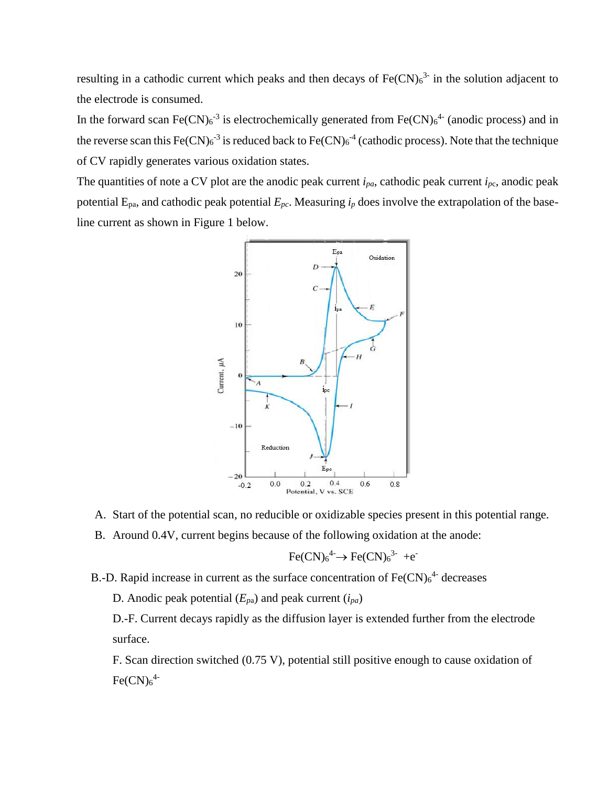resulting in a cathodic current which peaks and then decays of  $Fe(CN)<sub>6</sub><sup>3</sup>$  in the solution adjacent to the electrode is consumed.

In the forward scan Fe(CN) $_6$ <sup>-3</sup> is electrochemically generated from Fe(CN) $_6$ <sup>4-</sup> (anodic process) and in the reverse scan this  $Fe(CN)_{6}^{-3}$  is reduced back to  $Fe(CN)_{6}^{-4}$  (cathodic process). Note that the technique of CV rapidly generates various oxidation states.

The quantities of note a CV plot are the anodic peak current  $i_{pa}$ , cathodic peak current  $i_{pc}$ , anodic peak potential  $E_{pa}$ , and cathodic peak potential  $E_{pc}$ . Measuring  $i_p$  does involve the extrapolation of the baseline current as shown in Figure 1 below.



- A. Start of the potential scan, no reducible or oxidizable species present in this potential range.
- B. Around 0.4V, current begins because of the following oxidation at the anode:

$$
Fe(CN)64- \rightarrow Fe(CN)63- +e^-
$$

- B.-D. Rapid increase in current as the surface concentration of  $Fe(CN)<sub>6</sub><sup>4</sup>$  decreases
	- D. Anodic peak potential (*Ep*a) and peak current (*ipa*)

D.-F. Current decays rapidly as the diffusion layer is extended further from the electrode surface.

F. Scan direction switched (0.75 V), potential still positive enough to cause oxidation of  $Fe(CN)<sub>6</sub><sup>4</sup>$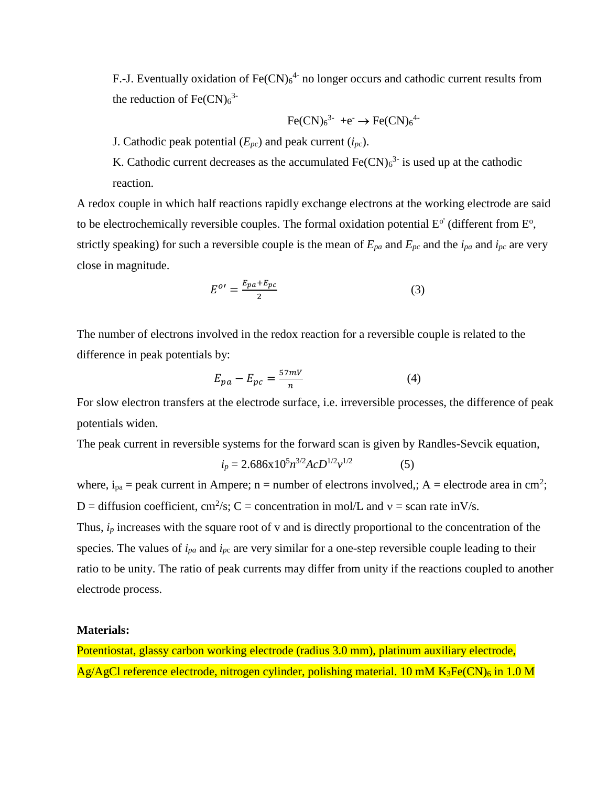F.-J. Eventually oxidation of  $Fe(CN)<sub>6</sub><sup>4-</sup>$  no longer occurs and cathodic current results from the reduction of  $Fe(CN)<sub>6</sub><sup>3</sup>$ 

$$
\text{Fe(CN)}_{6}^{3-} + e^- \rightarrow \text{Fe(CN)}_{6}^{4-}
$$

J. Cathodic peak potential  $(E_{pc})$  and peak current  $(i_{pc})$ .

K. Cathodic current decreases as the accumulated  $Fe(CN)<sub>6</sub><sup>3</sup>$  is used up at the cathodic reaction.

A redox couple in which half reactions rapidly exchange electrons at the working electrode are said to be electrochemically reversible couples. The formal oxidation potential  $E^{\circ'}$  (different from  $E^{\circ}$ , strictly speaking) for such a reversible couple is the mean of  $E_{pa}$  and  $E_{pc}$  and the  $i_{pa}$  and  $i_{pc}$  are very close in magnitude.

$$
E^{o} = \frac{E_{pa} + E_{pc}}{2} \tag{3}
$$

The number of electrons involved in the redox reaction for a reversible couple is related to the difference in peak potentials by:

$$
E_{pa} - E_{pc} = \frac{57mV}{n} \tag{4}
$$

For slow electron transfers at the electrode surface, i.e. irreversible processes, the difference of peak potentials widen.

The peak current in reversible systems for the forward scan is given by Randles-Sevcik equation,

$$
i_p = 2.686 \times 10^5 n^{3/2} AcD^{1/2} v^{1/2}
$$
 (5)

where,  $i_{pa}$  = peak current in Ampere; n = number of electrons involved,; A = electrode area in cm<sup>2</sup>; D = diffusion coefficient, cm<sup>2</sup>/s; C = concentration in mol/L and  $v =$  scan rate inV/s. Thus,  $i_p$  increases with the square root of v and is directly proportional to the concentration of the species. The values of  $i_{pa}$  and  $i_{pc}$  are very similar for a one-step reversible couple leading to their ratio to be unity. The ratio of peak currents may differ from unity if the reactions coupled to another electrode process.

#### **Materials:**

Potentiostat, glassy carbon working electrode (radius 3.0 mm), platinum auxiliary electrode, Ag/AgCl reference electrode, nitrogen cylinder, polishing material. 10 mM  $K_3Fe(CN)_6$  in 1.0 M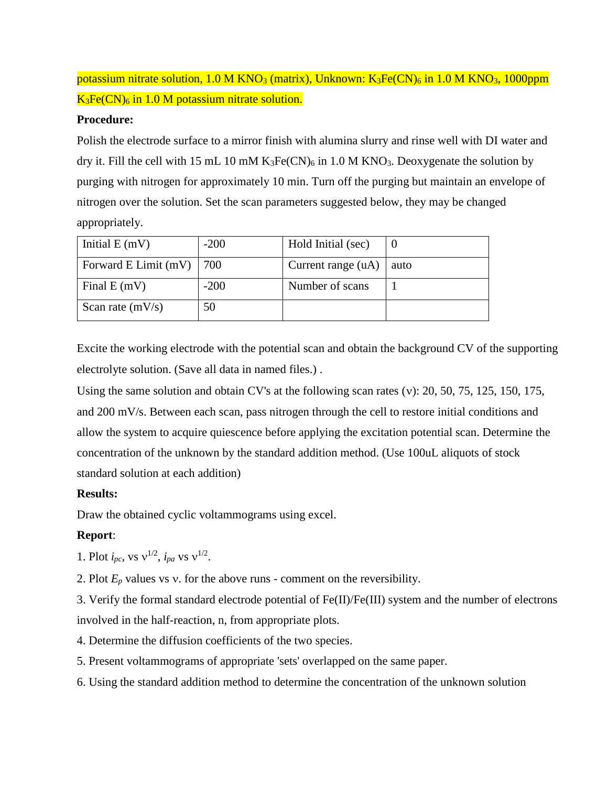# potassium nitrate solution,  $1.0 M KNO<sub>3</sub>$  (matrix), Unknown:  $K<sub>3</sub>Fe(CN)<sub>6</sub>$  in  $1.0 M KNO<sub>3</sub>$ ,  $1000ppm$  $K_3Fe(CN)_6$  in 1.0 M potassium nitrate solution.

## **Procedure:**

Polish the electrode surface to a mirror finish with alumina slurry and rinse well with DI water and dry it. Fill the cell with 15 mL 10 mM  $K_3Fe(CN)_6$  in 1.0 M KNO<sub>3</sub>. Deoxygenate the solution by purging with nitrogen for approximately 10 min. Turn off the purging but maintain an envelope of nitrogen over the solution. Set the scan parameters suggested below, they may be changed appropriately.

| Initial $E(mV)$      | $-200$             | Hold Initial (sec)   |      |
|----------------------|--------------------|----------------------|------|
| Forward E Limit (mV) | $\overline{1}$ 700 | Current range $(uA)$ | auto |
| Final $E(mV)$        | $-200$             | Number of scans      |      |
| Scan rate $(mV/s)$   | 50                 |                      |      |

Excite the working electrode with the potential scan and obtain the background CV of the supporting electrolyte solution. (Save all data in named files.) .

Using the same solution and obtain CV's at the following scan rates ( $v$ ): 20, 50, 75, 125, 150, 175, and 200 mV/s. Between each scan, pass nitrogen through the cell to restore initial conditions and allow the system to acquire quiescence before applying the excitation potential scan. Determine the concentration of the unknown by the standard addition method. (Use 100uL aliquots of stock standard solution at each addition)

# **Results:**

Draw the obtained cyclic voltammograms using excel.

# **Report**:

- 1. Plot  $i_{pc}$ , vs  $v^{1/2}$ ,  $i_{pa}$  vs  $v^{1/2}$ .
- 2. Plot  $E_p$  values vs v. for the above runs comment on the reversibility.

3. Verify the formal standard electrode potential of Fe(II)/Fe(III) system and the number of electrons involved in the half-reaction, n, from appropriate plots.

- 4. Determine the diffusion coefficients of the two species.
- 5. Present voltammograms of appropriate 'sets' overlapped on the same paper.
- 6. Using the standard addition method to determine the concentration of the unknown solution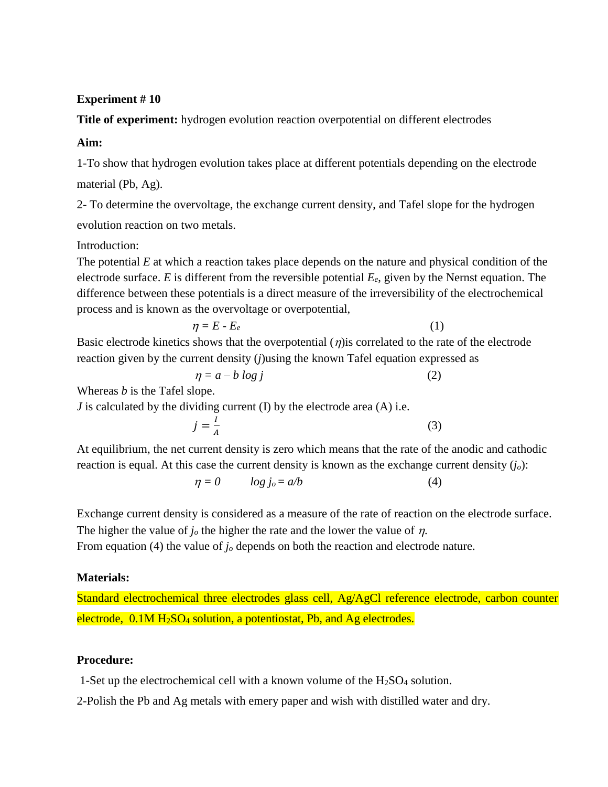**Title of experiment:** hydrogen evolution reaction overpotential on different electrodes

# **Aim:**

1-To show that hydrogen evolution takes place at different potentials depending on the electrode material (Pb, Ag).

2- To determine the overvoltage, the exchange current density, and Tafel slope for the hydrogen evolution reaction on two metals.

# Introduction:

The potential *E* at which a reaction takes place depends on the nature and physical condition of the electrode surface. *E* is different from the reversible potential *Ee*, given by the Nernst equation. The difference between these potentials is a direct measure of the irreversibility of the electrochemical process and is known as the overvoltage or overpotential,

$$
\eta = E - E_e \tag{1}
$$

Basic electrode kinetics shows that the overpotential  $(\eta)$  is correlated to the rate of the electrode reaction given by the current density (*j*)using the known Tafel equation expressed as

 $\eta = a - b \log j$  (2)

Whereas *b* is the Tafel slope.

*J* is calculated by the dividing current (I) by the electrode area (A) i.e.

$$
j = \frac{I}{A} \tag{3}
$$

At equilibrium, the net current density is zero which means that the rate of the anodic and cathodic reaction is equal. At this case the current density is known as the exchange current density (*jo*):

$$
\eta = 0 \qquad \log j_o = a/b \tag{4}
$$

Exchange current density is considered as a measure of the rate of reaction on the electrode surface. The higher the value of  $j<sub>o</sub>$  the higher the rate and the lower the value of  $\eta$ .

From equation (4) the value of *j<sub>o</sub>* depends on both the reaction and electrode nature.

# **Materials:**

Standard electrochemical three electrodes glass cell, Ag/AgCl reference electrode, carbon counter electrode,  $0.1M H<sub>2</sub>SO<sub>4</sub>$  solution, a potentiostat, Pb, and Ag electrodes.

# **Procedure:**

1-Set up the electrochemical cell with a known volume of the  $H<sub>2</sub>SO<sub>4</sub>$  solution.

2-Polish the Pb and Ag metals with emery paper and wish with distilled water and dry.